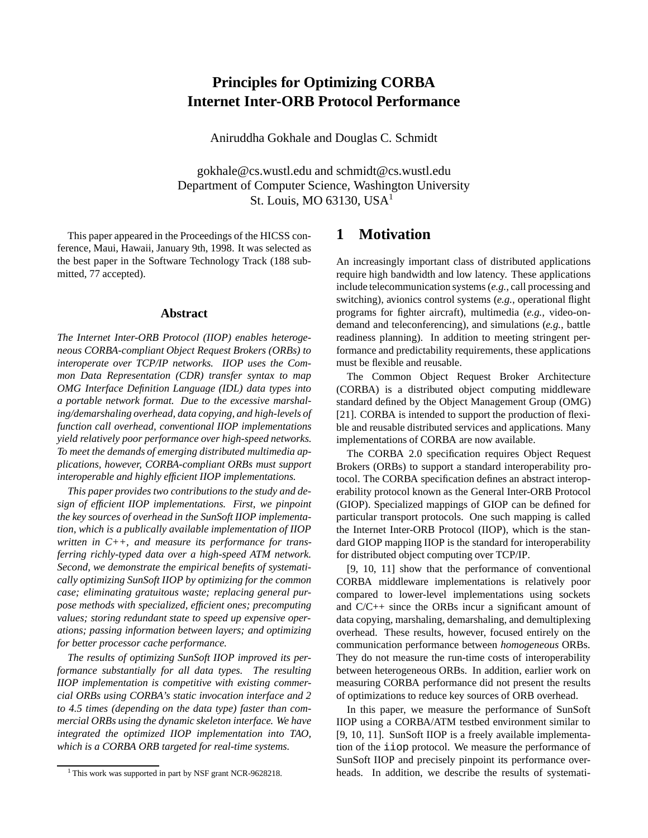# **Principles for Optimizing CORBA Internet Inter-ORB Protocol Performance**

Aniruddha Gokhale and Douglas C. Schmidt

gokhale@cs.wustl.edu and schmidt@cs.wustl.edu Department of Computer Science, Washington University St. Louis, MO 63130, USA $<sup>1</sup>$ </sup>

This paper appeared in the Proceedings of the HICSS conference, Maui, Hawaii, January 9th, 1998. It was selected as the best paper in the Software Technology Track (188 submitted, 77 accepted).

#### **Abstract**

*The Internet Inter-ORB Protocol (IIOP) enables heterogeneous CORBA-compliant Object Request Brokers (ORBs) to interoperate over TCP/IP networks. IIOP uses the Common Data Representation (CDR) transfer syntax to map OMG Interface Definition Language (IDL) data types into a portable network format. Due to the excessive marshaling/demarshaling overhead, data copying, and high-levels of function call overhead, conventional IIOP implementations yield relatively poor performance over high-speed networks. To meet the demands of emerging distributed multimedia applications, however, CORBA-compliant ORBs must support interoperable and highly efficient IIOP implementations.*

*This paper provides two contributions to the study and design of efficient IIOP implementations. First, we pinpoint the key sources of overhead in the SunSoft IIOP implementation, which is a publically available implementation of IIOP written in C++, and measure its performance for transferring richly-typed data over a high-speed ATM network. Second, we demonstrate the empirical benefits of systematically optimizing SunSoft IIOP by optimizing for the common case; eliminating gratuitous waste; replacing general purpose methods with specialized, efficient ones; precomputing values; storing redundant state to speed up expensive operations; passing information between layers; and optimizing for better processor cache performance.*

*The results of optimizing SunSoft IIOP improved its performance substantially for all data types. The resulting IIOP implementation is competitive with existing commercial ORBs using CORBA's static invocation interface and 2 to 4.5 times (depending on the data type) faster than commercial ORBs using the dynamic skeleton interface. We have integrated the optimized IIOP implementation into TAO, which is a CORBA ORB targeted for real-time systems.*

# **1 Motivation**

An increasingly important class of distributed applications require high bandwidth and low latency. These applications include telecommunication systems (*e.g.,* call processing and switching), avionics control systems (*e.g.,* operational flight programs for fighter aircraft), multimedia (*e.g.,* video-ondemand and teleconferencing), and simulations (*e.g.,* battle readiness planning). In addition to meeting stringent performance and predictability requirements, these applications must be flexible and reusable.

The Common Object Request Broker Architecture (CORBA) is a distributed object computing middleware standard defined by the Object Management Group (OMG) [21]. CORBA is intended to support the production of flexible and reusable distributed services and applications. Many implementations of CORBA are now available.

The CORBA 2.0 specification requires Object Request Brokers (ORBs) to support a standard interoperability protocol. The CORBA specification defines an abstract interoperability protocol known as the General Inter-ORB Protocol (GIOP). Specialized mappings of GIOP can be defined for particular transport protocols. One such mapping is called the Internet Inter-ORB Protocol (IIOP), which is the standard GIOP mapping IIOP is the standard for interoperability for distributed object computing over TCP/IP.

[9, 10, 11] show that the performance of conventional CORBA middleware implementations is relatively poor compared to lower-level implementations using sockets and C/C++ since the ORBs incur a significant amount of data copying, marshaling, demarshaling, and demultiplexing overhead. These results, however, focused entirely on the communication performance between *homogeneous* ORBs. They do not measure the run-time costs of interoperability between heterogeneous ORBs. In addition, earlier work on measuring CORBA performance did not present the results of optimizations to reduce key sources of ORB overhead.

In this paper, we measure the performance of SunSoft IIOP using a CORBA/ATM testbed environment similar to [9, 10, 11]. SunSoft IIOP is a freely available implementation of the iiop protocol. We measure the performance of SunSoft IIOP and precisely pinpoint its performance overheads. In addition, we describe the results of systemati-

<sup>&</sup>lt;sup>1</sup> This work was supported in part by NSF grant NCR-9628218.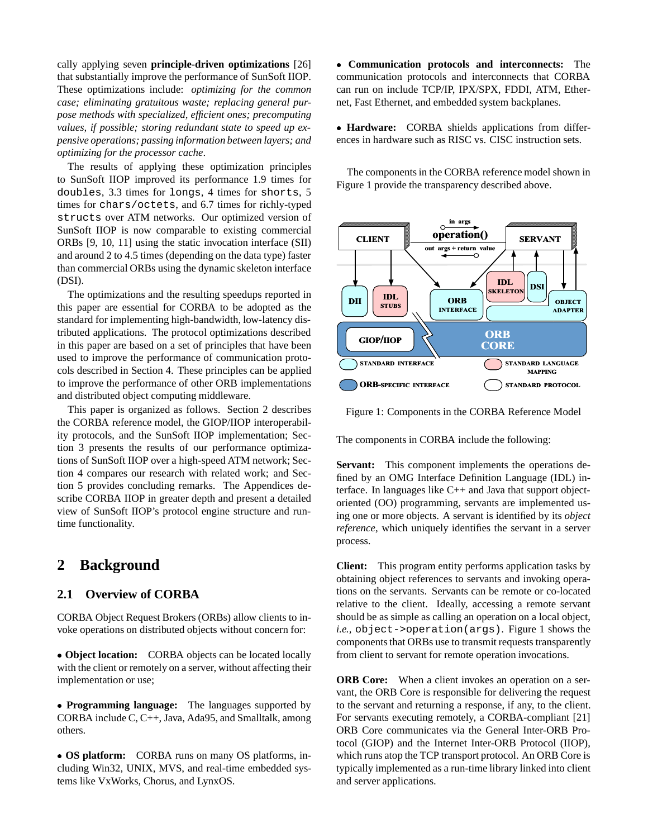cally applying seven **principle-driven optimizations** [26] that substantially improve the performance of SunSoft IIOP. These optimizations include: *optimizing for the common case; eliminating gratuitous waste; replacing general purpose methods with specialized, efficient ones; precomputing values, if possible; storing redundant state to speed up expensive operations; passing information between layers; and optimizing for the processor cache*.

The results of applying these optimization principles to SunSoft IIOP improved its performance 1.9 times for doubles, 3.3 times for longs, 4 times for shorts, 5 times for chars/octets, and 6.7 times for richly-typed structs over ATM networks. Our optimized version of SunSoft IIOP is now comparable to existing commercial ORBs [9, 10, 11] using the static invocation interface (SII) and around 2 to 4.5 times (depending on the data type) faster than commercial ORBs using the dynamic skeleton interface (DSI).

The optimizations and the resulting speedups reported in this paper are essential for CORBA to be adopted as the standard for implementing high-bandwidth, low-latency distributed applications. The protocol optimizations described in this paper are based on a set of principles that have been used to improve the performance of communication protocols described in Section 4. These principles can be applied to improve the performance of other ORB implementations and distributed object computing middleware.

This paper is organized as follows. Section 2 describes the CORBA reference model, the GIOP/IIOP interoperability protocols, and the SunSoft IIOP implementation; Section 3 presents the results of our performance optimizations of SunSoft IIOP over a high-speed ATM network; Section 4 compares our research with related work; and Section 5 provides concluding remarks. The Appendices describe CORBA IIOP in greater depth and present a detailed view of SunSoft IIOP's protocol engine structure and runtime functionality.

# **2 Background**

## **2.1 Overview of CORBA**

CORBA Object Request Brokers (ORBs) allow clients to invoke operations on distributed objects without concern for:

 **Object location:** CORBA objects can be located locally with the client or remotely on a server, without affecting their implementation or use;

 **Programming language:** The languages supported by CORBA include C, C++, Java, Ada95, and Smalltalk, among others.

 **OS platform:** CORBA runs on many OS platforms, including Win32, UNIX, MVS, and real-time embedded systems like VxWorks, Chorus, and LynxOS.

 **Communication protocols and interconnects:** The communication protocols and interconnects that CORBA can run on include TCP/IP, IPX/SPX, FDDI, ATM, Ethernet, Fast Ethernet, and embedded system backplanes.

 **Hardware:** CORBA shields applications from differences in hardware such as RISC vs. CISC instruction sets.

The components in the CORBA reference model shown in Figure 1 provide the transparency described above.



Figure 1: Components in the CORBA Reference Model

The components in CORBA include the following:

**Servant:** This component implements the operations defined by an OMG Interface Definition Language (IDL) interface. In languages like C++ and Java that support objectoriented (OO) programming, servants are implemented using one or more objects. A servant is identified by its *object reference*, which uniquely identifies the servant in a server process.

**Client:** This program entity performs application tasks by obtaining object references to servants and invoking operations on the servants. Servants can be remote or co-located relative to the client. Ideally, accessing a remote servant should be as simple as calling an operation on a local object, *i.e.,* object->operation(args). Figure 1 shows the components that ORBs use to transmit requests transparently from client to servant for remote operation invocations.

**ORB Core:** When a client invokes an operation on a servant, the ORB Core is responsible for delivering the request to the servant and returning a response, if any, to the client. For servants executing remotely, a CORBA-compliant [21] ORB Core communicates via the General Inter-ORB Protocol (GIOP) and the Internet Inter-ORB Protocol (IIOP), which runs atop the TCP transport protocol. An ORB Core is typically implemented as a run-time library linked into client and server applications.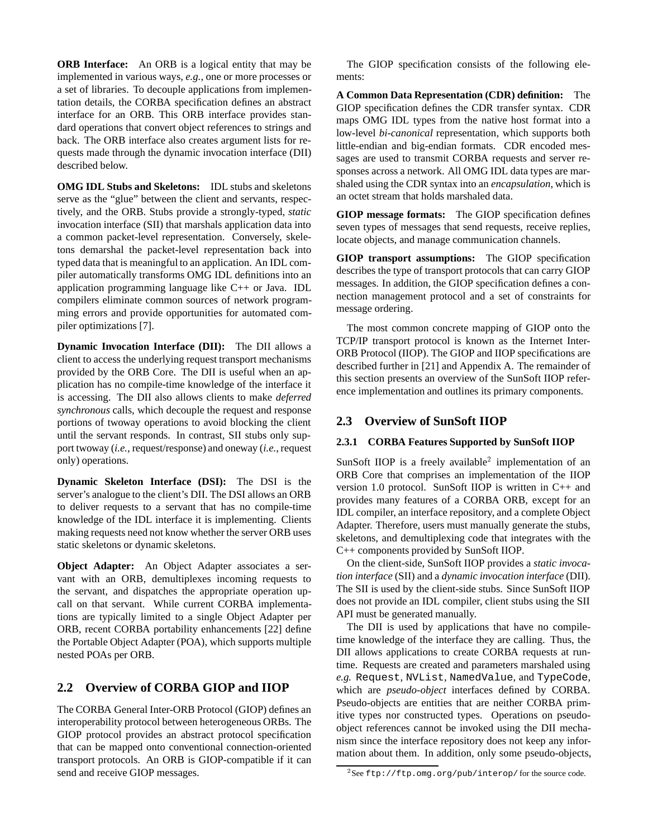**ORB Interface:** An ORB is a logical entity that may be implemented in various ways, *e.g.*, one or more processes or a set of libraries. To decouple applications from implementation details, the CORBA specification defines an abstract interface for an ORB. This ORB interface provides standard operations that convert object references to strings and back. The ORB interface also creates argument lists for requests made through the dynamic invocation interface (DII) described below.

**OMG IDL Stubs and Skeletons:** IDL stubs and skeletons serve as the "glue" between the client and servants, respectively, and the ORB. Stubs provide a strongly-typed, *static* invocation interface (SII) that marshals application data into a common packet-level representation. Conversely, skeletons demarshal the packet-level representation back into typed data that is meaningful to an application. An IDL compiler automatically transforms OMG IDL definitions into an application programming language like C++ or Java. IDL compilers eliminate common sources of network programming errors and provide opportunities for automated compiler optimizations [7].

**Dynamic Invocation Interface (DII):** The DII allows a client to access the underlying request transport mechanisms provided by the ORB Core. The DII is useful when an application has no compile-time knowledge of the interface it is accessing. The DII also allows clients to make *deferred synchronous* calls, which decouple the request and response portions of twoway operations to avoid blocking the client until the servant responds. In contrast, SII stubs only support twoway (*i.e.*, request/response) and oneway (*i.e.*, request only) operations.

**Dynamic Skeleton Interface (DSI):** The DSI is the server's analogue to the client's DII. The DSI allows an ORB to deliver requests to a servant that has no compile-time knowledge of the IDL interface it is implementing. Clients making requests need not know whether the server ORB uses static skeletons or dynamic skeletons.

**Object Adapter:** An Object Adapter associates a servant with an ORB, demultiplexes incoming requests to the servant, and dispatches the appropriate operation upcall on that servant. While current CORBA implementations are typically limited to a single Object Adapter per ORB, recent CORBA portability enhancements [22] define the Portable Object Adapter (POA), which supports multiple nested POAs per ORB.

# **2.2 Overview of CORBA GIOP and IIOP**

The CORBA General Inter-ORB Protocol (GIOP) defines an interoperability protocol between heterogeneous ORBs. The GIOP protocol provides an abstract protocol specification that can be mapped onto conventional connection-oriented transport protocols. An ORB is GIOP-compatible if it can send and receive GIOP messages.

The GIOP specification consists of the following elements:

**A Common Data Representation (CDR) definition:** The GIOP specification defines the CDR transfer syntax. CDR maps OMG IDL types from the native host format into a low-level *bi-canonical* representation, which supports both little-endian and big-endian formats. CDR encoded messages are used to transmit CORBA requests and server responses across a network. All OMG IDL data types are marshaled using the CDR syntax into an *encapsulation*, which is an octet stream that holds marshaled data.

**GIOP message formats:** The GIOP specification defines seven types of messages that send requests, receive replies, locate objects, and manage communication channels.

**GIOP transport assumptions:** The GIOP specification describes the type of transport protocols that can carry GIOP messages. In addition, the GIOP specification defines a connection management protocol and a set of constraints for message ordering.

The most common concrete mapping of GIOP onto the TCP/IP transport protocol is known as the Internet Inter-ORB Protocol (IIOP). The GIOP and IIOP specifications are described further in [21] and Appendix A. The remainder of this section presents an overview of the SunSoft IIOP reference implementation and outlines its primary components.

## **2.3 Overview of SunSoft IIOP**

#### **2.3.1 CORBA Features Supported by SunSoft IIOP**

SunSoft IIOP is a freely available<sup>2</sup> implementation of an ORB Core that comprises an implementation of the IIOP version 1.0 protocol. SunSoft IIOP is written in C++ and provides many features of a CORBA ORB, except for an IDL compiler, an interface repository, and a complete Object Adapter. Therefore, users must manually generate the stubs, skeletons, and demultiplexing code that integrates with the C++ components provided by SunSoft IIOP.

On the client-side, SunSoft IIOP provides a *static invocation interface* (SII) and a *dynamic invocation interface* (DII). The SII is used by the client-side stubs. Since SunSoft IIOP does not provide an IDL compiler, client stubs using the SII API must be generated manually.

The DII is used by applications that have no compiletime knowledge of the interface they are calling. Thus, the DII allows applications to create CORBA requests at runtime. Requests are created and parameters marshaled using *e.g.* Request, NVList, NamedValue, and TypeCode, which are *pseudo-object* interfaces defined by CORBA. Pseudo-objects are entities that are neither CORBA primitive types nor constructed types. Operations on pseudoobject references cannot be invoked using the DII mechanism since the interface repository does not keep any information about them. In addition, only some pseudo-objects,

<sup>2</sup> See ftp://ftp.omg.org/pub/interop/ for the source code.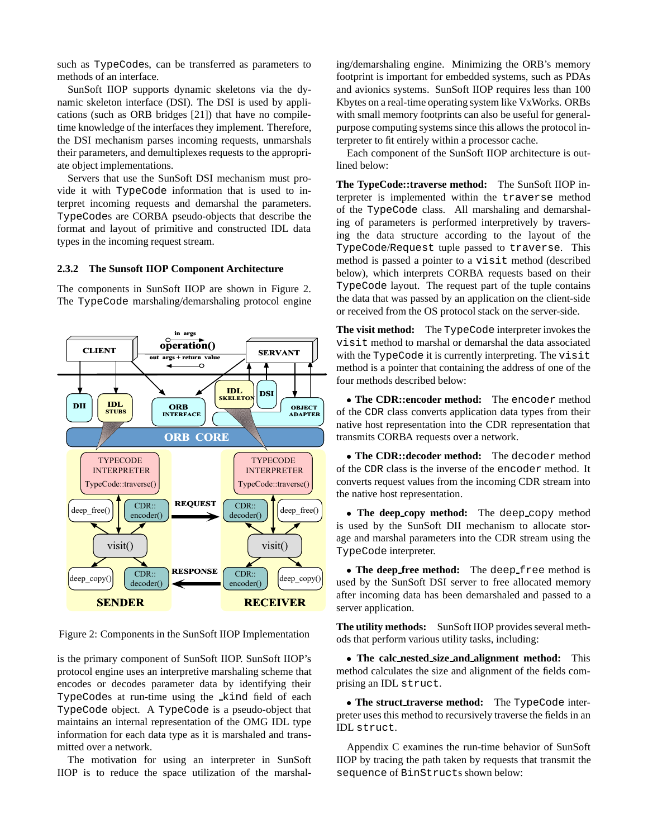such as TypeCodes, can be transferred as parameters to methods of an interface.

SunSoft IIOP supports dynamic skeletons via the dynamic skeleton interface (DSI). The DSI is used by applications (such as ORB bridges [21]) that have no compiletime knowledge of the interfaces they implement. Therefore, the DSI mechanism parses incoming requests, unmarshals their parameters, and demultiplexes requests to the appropriate object implementations.

Servers that use the SunSoft DSI mechanism must provide it with TypeCode information that is used to interpret incoming requests and demarshal the parameters. TypeCodes are CORBA pseudo-objects that describe the format and layout of primitive and constructed IDL data types in the incoming request stream.

#### **2.3.2 The Sunsoft IIOP Component Architecture**

The components in SunSoft IIOP are shown in Figure 2. The TypeCode marshaling/demarshaling protocol engine



Figure 2: Components in the SunSoft IIOP Implementation

is the primary component of SunSoft IIOP. SunSoft IIOP's protocol engine uses an interpretive marshaling scheme that encodes or decodes parameter data by identifying their TypeCodes at run-time using the kind field of each TypeCode object. A TypeCode is a pseudo-object that maintains an internal representation of the OMG IDL type information for each data type as it is marshaled and transmitted over a network.

The motivation for using an interpreter in SunSoft IIOP is to reduce the space utilization of the marshaling/demarshaling engine. Minimizing the ORB's memory footprint is important for embedded systems, such as PDAs and avionics systems. SunSoft IIOP requires less than 100 Kbytes on a real-time operating system like VxWorks. ORBs with small memory footprints can also be useful for generalpurpose computing systems since this allows the protocol interpreter to fit entirely within a processor cache.

Each component of the SunSoft IIOP architecture is outlined below:

**The TypeCode::traverse method:** The SunSoft IIOP interpreter is implemented within the traverse method of the TypeCode class. All marshaling and demarshaling of parameters is performed interpretively by traversing the data structure according to the layout of the TypeCode/Request tuple passed to traverse. This method is passed a pointer to a visit method (described below), which interprets CORBA requests based on their TypeCode layout. The request part of the tuple contains the data that was passed by an application on the client-side or received from the OS protocol stack on the server-side.

**The visit method:** The TypeCode interpreter invokes the visit method to marshal or demarshal the data associated with the TypeCode it is currently interpreting. The visit method is a pointer that containing the address of one of the four methods described below:

 **The CDR::encoder method:** The encoder method of the CDR class converts application data types from their native host representation into the CDR representation that transmits CORBA requests over a network.

 **The CDR::decoder method:** The decoder method of the CDR class is the inverse of the encoder method. It converts request values from the incoming CDR stream into the native host representation.

 **The deep copy method:** The deep copy method is used by the SunSoft DII mechanism to allocate storage and marshal parameters into the CDR stream using the TypeCode interpreter.

 **The deep free method:** The deep free method is used by the SunSoft DSI server to free allocated memory after incoming data has been demarshaled and passed to a server application.

**The utility methods:** SunSoft IIOP provides several methods that perform various utility tasks, including:

 **The calc nested size and alignment method:** This method calculates the size and alignment of the fields comprising an IDL struct.

 **The struct traverse method:** The TypeCode interpreter uses this method to recursively traverse the fields in an IDL struct.

Appendix C examines the run-time behavior of SunSoft IIOP by tracing the path taken by requests that transmit the sequence of BinStructs shown below: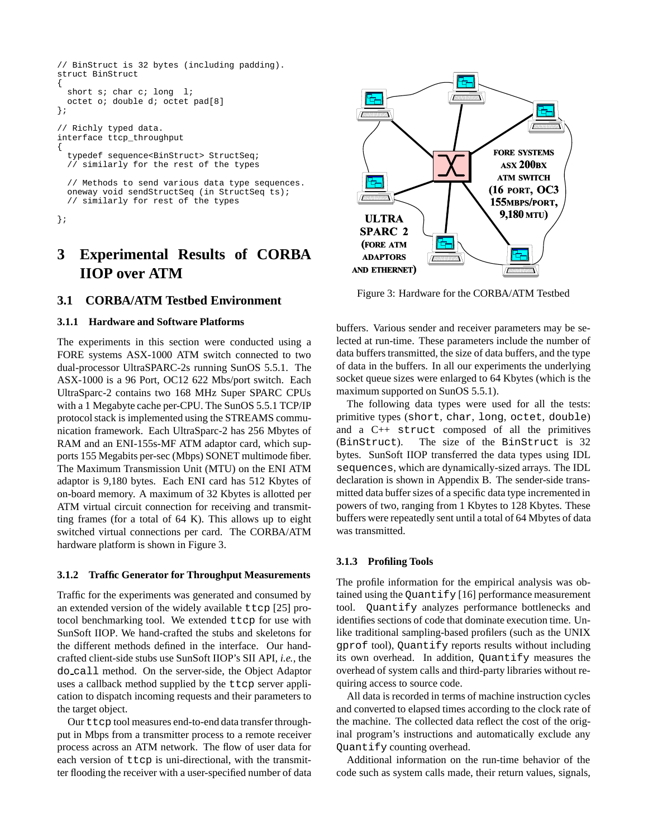```
// BinStruct is 32 bytes (including padding).
struct BinStruct
{
 short s; char c; long l;
 octet o; double d; octet pad[8]
};
// Richly typed data.
interface ttcp_throughput
{
  typedef sequence<BinStruct> StructSeq;
  // similarly for the rest of the types
  // Methods to send various data type sequences.
  oneway void sendStructSeq (in StructSeq ts);
  // similarly for rest of the types
```
#### };

# **3 Experimental Results of CORBA IIOP over ATM**

# **3.1 CORBA/ATM Testbed Environment**

### **3.1.1 Hardware and Software Platforms**

The experiments in this section were conducted using a FORE systems ASX-1000 ATM switch connected to two dual-processor UltraSPARC-2s running SunOS 5.5.1. The ASX-1000 is a 96 Port, OC12 622 Mbs/port switch. Each UltraSparc-2 contains two 168 MHz Super SPARC CPUs with a 1 Megabyte cache per-CPU. The SunOS 5.5.1 TCP/IP protocol stack is implemented using the STREAMS communication framework. Each UltraSparc-2 has 256 Mbytes of RAM and an ENI-155s-MF ATM adaptor card, which supports 155 Megabits per-sec (Mbps) SONET multimode fiber. The Maximum Transmission Unit (MTU) on the ENI ATM adaptor is 9,180 bytes. Each ENI card has 512 Kbytes of on-board memory. A maximum of 32 Kbytes is allotted per ATM virtual circuit connection for receiving and transmitting frames (for a total of 64 K). This allows up to eight switched virtual connections per card. The CORBA/ATM hardware platform is shown in Figure 3.

#### **3.1.2 Traffic Generator for Throughput Measurements**

Traffic for the experiments was generated and consumed by an extended version of the widely available ttcp [25] protocol benchmarking tool. We extended ttcp for use with SunSoft IIOP. We hand-crafted the stubs and skeletons for the different methods defined in the interface. Our handcrafted client-side stubs use SunSoft IIOP's SII API, *i.e.*, the do call method. On the server-side, the Object Adaptor uses a callback method supplied by the ttcp server application to dispatch incoming requests and their parameters to the target object.

Our ttcp tool measures end-to-end data transfer throughput in Mbps from a transmitter process to a remote receiver process across an ATM network. The flow of user data for each version of  $t \text{tcp}$  is uni-directional, with the transmitter flooding the receiver with a user-specified number of data



Figure 3: Hardware for the CORBA/ATM Testbed

buffers. Various sender and receiver parameters may be selected at run-time. These parameters include the number of data buffers transmitted, the size of data buffers, and the type of data in the buffers. In all our experiments the underlying socket queue sizes were enlarged to 64 Kbytes (which is the maximum supported on SunOS 5.5.1).

The following data types were used for all the tests: primitive types (short, char, long, octet, double) and a C++ struct composed of all the primitives (BinStruct). The size of the BinStruct is 32 bytes. SunSoft IIOP transferred the data types using IDL sequences, which are dynamically-sized arrays. The IDL declaration is shown in Appendix B. The sender-side transmitted data buffer sizes of a specific data type incremented in powers of two, ranging from 1 Kbytes to 128 Kbytes. These buffers were repeatedly sent until a total of 64 Mbytes of data was transmitted.

## **3.1.3 Profiling Tools**

The profile information for the empirical analysis was obtained using the Quantify [16] performance measurement tool. Quantify analyzes performance bottlenecks and identifies sections of code that dominate execution time. Unlike traditional sampling-based profilers (such as the UNIX gprof tool), Quantify reports results without including its own overhead. In addition, Quantify measures the overhead of system calls and third-party libraries without requiring access to source code.

All data is recorded in terms of machine instruction cycles and converted to elapsed times according to the clock rate of the machine. The collected data reflect the cost of the original program's instructions and automatically exclude any Quantify counting overhead.

Additional information on the run-time behavior of the code such as system calls made, their return values, signals,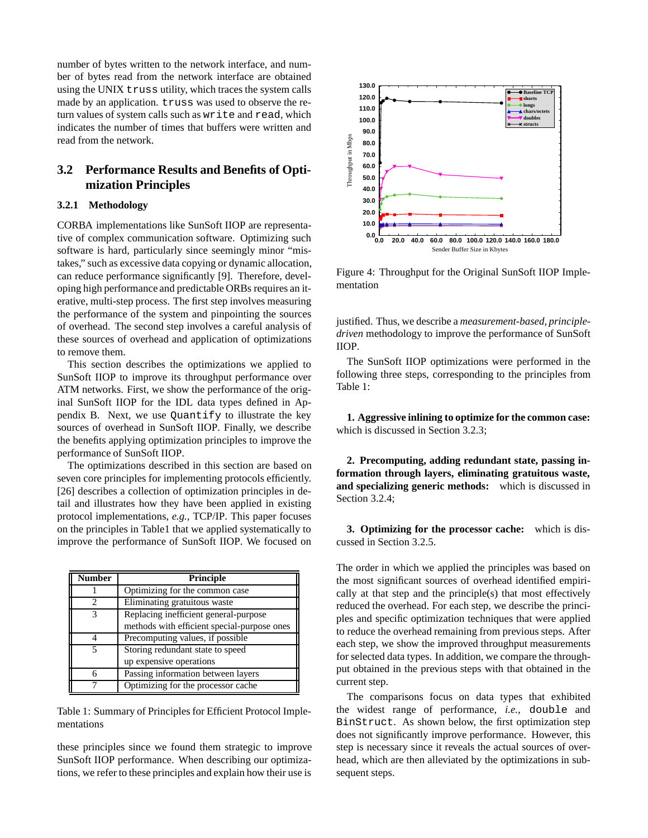number of bytes written to the network interface, and number of bytes read from the network interface are obtained using the UNIX truss utility, which traces the system calls made by an application. truss was used to observe the return values of system calls such as write and read, which indicates the number of times that buffers were written and read from the network.

# **3.2 Performance Results and Benefits of Optimization Principles**

#### **3.2.1 Methodology**

CORBA implementations like SunSoft IIOP are representative of complex communication software. Optimizing such software is hard, particularly since seemingly minor "mistakes," such as excessive data copying or dynamic allocation, can reduce performance significantly [9]. Therefore, developing high performance and predictable ORBs requires an iterative, multi-step process. The first step involves measuring the performance of the system and pinpointing the sources of overhead. The second step involves a careful analysis of these sources of overhead and application of optimizations to remove them.

This section describes the optimizations we applied to SunSoft IIOP to improve its throughput performance over ATM networks. First, we show the performance of the original SunSoft IIOP for the IDL data types defined in Appendix B. Next, we use Quantify to illustrate the key sources of overhead in SunSoft IIOP. Finally, we describe the benefits applying optimization principles to improve the performance of SunSoft IIOP.

The optimizations described in this section are based on seven core principles for implementing protocols efficiently. [26] describes a collection of optimization principles in detail and illustrates how they have been applied in existing protocol implementations, *e.g.,* TCP/IP. This paper focuses on the principles in Table1 that we applied systematically to improve the performance of SunSoft IIOP. We focused on

| <b>Number</b> | Principle                                   |
|---------------|---------------------------------------------|
|               | Optimizing for the common case              |
| 2             | Eliminating gratuitous waste                |
|               | Replacing inefficient general-purpose       |
|               | methods with efficient special-purpose ones |
|               | Precomputing values, if possible            |
| 5             | Storing redundant state to speed            |
|               | up expensive operations                     |
| 6             | Passing information between layers          |
|               | Optimizing for the processor cache          |

Table 1: Summary of Principles for Efficient Protocol Implementations

these principles since we found them strategic to improve SunSoft IIOP performance. When describing our optimizations, we refer to these principles and explain how their use is



Figure 4: Throughput for the Original SunSoft IIOP Implementation

justified. Thus, we describe a *measurement-based, principledriven* methodology to improve the performance of SunSoft IIOP.

The SunSoft IIOP optimizations were performed in the following three steps, corresponding to the principles from Table 1:

**1. Aggressive inlining to optimize for the common case:** which is discussed in Section 3.2.3;

**2. Precomputing, adding redundant state, passing information through layers, eliminating gratuitous waste, and specializing generic methods:** which is discussed in Section 3.2.4;

**3. Optimizing for the processor cache:** which is discussed in Section 3.2.5.

The order in which we applied the principles was based on the most significant sources of overhead identified empirically at that step and the principle(s) that most effectively reduced the overhead. For each step, we describe the principles and specific optimization techniques that were applied to reduce the overhead remaining from previous steps. After each step, we show the improved throughput measurements for selected data types. In addition, we compare the throughput obtained in the previous steps with that obtained in the current step.

The comparisons focus on data types that exhibited the widest range of performance, *i.e.*, double and BinStruct. As shown below, the first optimization step does not significantly improve performance. However, this step is necessary since it reveals the actual sources of overhead, which are then alleviated by the optimizations in subsequent steps.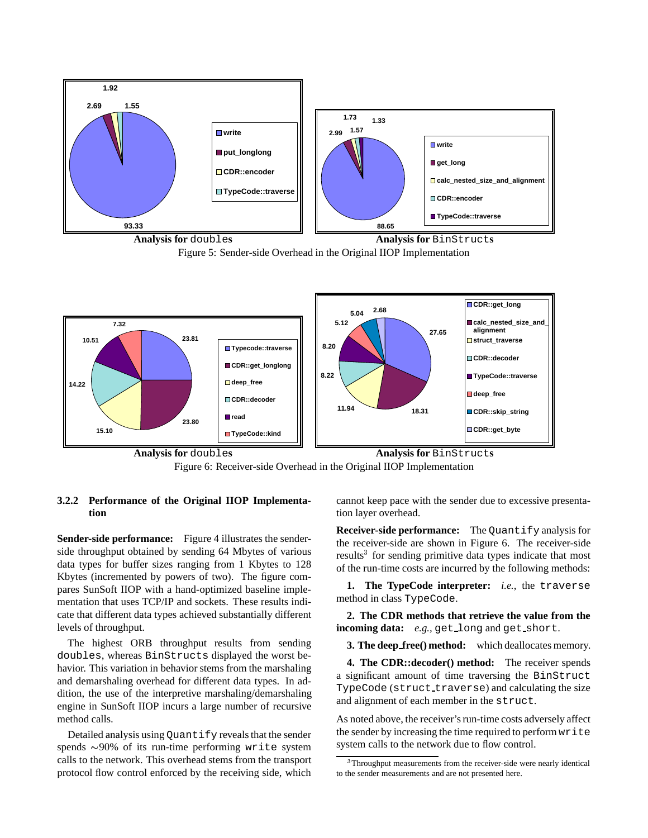







### **3.2.2 Performance of the Original IIOP Implementation**

**Sender-side performance:** Figure 4 illustrates the senderside throughput obtained by sending 64 Mbytes of various data types for buffer sizes ranging from 1 Kbytes to 128 Kbytes (incremented by powers of two). The figure compares SunSoft IIOP with a hand-optimized baseline implementation that uses TCP/IP and sockets. These results indicate that different data types achieved substantially different levels of throughput.

The highest ORB throughput results from sending doubles, whereas BinStructs displayed the worst behavior. This variation in behavior stems from the marshaling and demarshaling overhead for different data types. In addition, the use of the interpretive marshaling/demarshaling engine in SunSoft IIOP incurs a large number of recursive method calls.

Detailed analysis using Quantify reveals that the sender spends  $\sim$ 90% of its run-time performing write system calls to the network. This overhead stems from the transport protocol flow control enforced by the receiving side, which

cannot keep pace with the sender due to excessive presentation layer overhead.

**Receiver-side performance:** The Quantify analysis for the receiver-side are shown in Figure 6. The receiver-side results<sup>3</sup> for sending primitive data types indicate that most of the run-time costs are incurred by the following methods:

**1. The TypeCode interpreter:** *i.e.*, the traverse method in class TypeCode.

**2. The CDR methods that retrieve the value from the incoming data:** *e.g.,* get long and get short.

**3. The deep free() method:** which deallocates memory.

**4. The CDR::decoder() method:** The receiver spends a significant amount of time traversing the BinStruct TypeCode (struct\_traverse) and calculating the size and alignment of each member in the struct.

As noted above, the receiver's run-time costs adversely affect the sender by increasing the time required to perform write system calls to the network due to flow control.

<sup>&</sup>lt;sup>3</sup>Throughput measurements from the receiver-side were nearly identical to the sender measurements and are not presented here.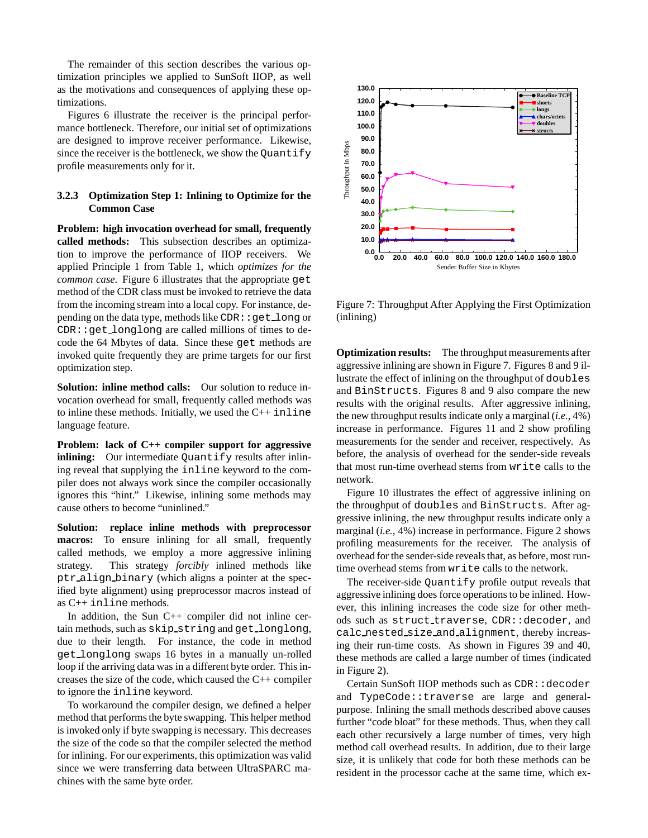The remainder of this section describes the various optimization principles we applied to SunSoft IIOP, as well as the motivations and consequences of applying these optimizations.

Figures 6 illustrate the receiver is the principal performance bottleneck. Therefore, our initial set of optimizations are designed to improve receiver performance. Likewise, since the receiver is the bottleneck, we show the Quantify profile measurements only for it.

#### **3.2.3 Optimization Step 1: Inlining to Optimize for the Common Case**

**Problem: high invocation overhead for small, frequently called methods:** This subsection describes an optimization to improve the performance of IIOP receivers. We applied Principle 1 from Table 1, which *optimizes for the common case.* Figure 6 illustrates that the appropriate get method of the CDR class must be invoked to retrieve the data from the incoming stream into a local copy. For instance, depending on the data type, methods like CDR: : get long or  $CDR: qet\_longlong$  are called millions of times to decode the 64 Mbytes of data. Since these get methods are invoked quite frequently they are prime targets for our first optimization step.

**Solution: inline method calls:** Our solution to reduce invocation overhead for small, frequently called methods was to inline these methods. Initially, we used the C++ inline language feature.

**Problem: lack of C++ compiler support for aggressive inlining:** Our intermediate Quantify results after inlining reveal that supplying the inline keyword to the compiler does not always work since the compiler occasionally ignores this "hint." Likewise, inlining some methods may cause others to become "uninlined."

**Solution: replace inline methods with preprocessor macros:** To ensure inlining for all small, frequently called methods, we employ a more aggressive inlining strategy. This strategy *forcibly* inlined methods like ptr align binary (which aligns a pointer at the specified byte alignment) using preprocessor macros instead of as C++ inline methods.

In addition, the Sun C++ compiler did not inline certain methods, such as skip string and get longlong, due to their length. For instance, the code in method get longlong swaps 16 bytes in a manually un-rolled loop if the arriving data was in a different byte order. This increases the size of the code, which caused the C++ compiler to ignore the inline keyword.

To workaround the compiler design, we defined a helper method that performs the byte swapping. This helper method is invoked only if byte swapping is necessary. This decreases the size of the code so that the compiler selected the method for inlining. For our experiments, this optimization was valid since we were transferring data between UltraSPARC machines with the same byte order.



Figure 7: Throughput After Applying the First Optimization (inlining)

**Optimization results:** The throughput measurements after aggressive inlining are shown in Figure 7. Figures 8 and 9 illustrate the effect of inlining on the throughput of doubles and BinStructs. Figures 8 and 9 also compare the new results with the original results. After aggressive inlining, the new throughput results indicate only a marginal (*i.e.*, 4%) increase in performance. Figures 11 and 2 show profiling measurements for the sender and receiver, respectively. As before, the analysis of overhead for the sender-side reveals that most run-time overhead stems from write calls to the network.

Figure 10 illustrates the effect of aggressive inlining on the throughput of doubles and BinStructs. After aggressive inlining, the new throughput results indicate only a marginal (*i.e.*, 4%) increase in performance. Figure 2 shows profiling measurements for the receiver. The analysis of overhead for the sender-side reveals that, as before, most runtime overhead stems from write calls to the network.

The receiver-side Quantify profile output reveals that aggressive inlining does force operations to be inlined. However, this inlining increases the code size for other methods such as struct traverse, CDR::decoder, and calc nested size and alignment, thereby increasing their run-time costs. As shown in Figures 39 and 40, these methods are called a large number of times (indicated in Figure 2).

Certain SunSoft IIOP methods such as CDR::decoder and TypeCode::traverse are large and generalpurpose. Inlining the small methods described above causes further "code bloat" for these methods. Thus, when they call each other recursively a large number of times, very high method call overhead results. In addition, due to their large size, it is unlikely that code for both these methods can be resident in the processor cache at the same time, which ex-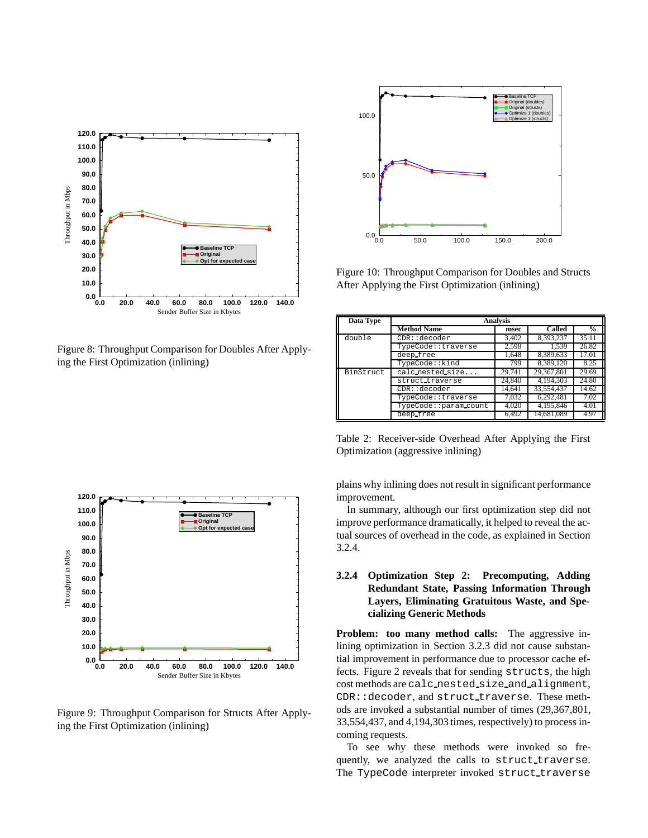

Figure 8: Throughput Comparison for Doubles After Applying the First Optimization (inlining)



Figure 9: Throughput Comparison for Structs After Applying the First Optimization (inlining)



Figure 10: Throughput Comparison for Doubles and Structs After Applying the First Optimization (inlining)

| Data Type | <b>Analysis</b>       |        |            |               |
|-----------|-----------------------|--------|------------|---------------|
|           | <b>Method Name</b>    | msec   | Called     | $\frac{6}{6}$ |
| double    | CDF: decoder          | 3,402  | 8,393,237  | 35.11         |
|           | TypeCode::traverse    | 2.598  | 1.539      | 26.82         |
|           | deep free             | 1,648  | 8,389,633  | 17.01         |
|           | TypeCode::kind        | 799    | 8,389,120  | 8.25          |
| BinStruct | calc_nested_size      | 29,741 | 29,367,801 | 29.69         |
|           | struct traverse       | 24,840 | 4.194.303  | 24.80         |
|           | CDF: decoder          | 14,641 | 33,554,437 | 14.62         |
|           | TypeCode::traverse    | 7,032  | 6.292.481  | 7.02          |
|           | TypeCode::param.count | 4.020  | 4,195,846  | 4.01          |
|           | deep free             | 6.492  | 14.681.089 | 4.97          |

Table 2: Receiver-side Overhead After Applying the First Optimization (aggressive inlining)

plains why inlining does not result in significant performance improvement.

In summary, although our first optimization step did not improve performance dramatically, it helped to reveal the actual sources of overhead in the code, as explained in Section 3.2.4.

## **3.2.4 Optimization Step 2: Precomputing, Adding Redundant State, Passing Information Through Layers, Eliminating Gratuitous Waste, and Specializing Generic Methods**

**Problem: too many method calls:** The aggressive inlining optimization in Section 3.2.3 did not cause substantial improvement in performance due to processor cache effects. Figure 2 reveals that for sending structs, the high cost methods are calc nested size and alignment, CDR::decoder, and struct\_traverse. These methods are invoked a substantial number of times (29,367,801, 33,554,437, and 4,194,303 times, respectively) to process incoming requests.

To see why these methods were invoked so frequently, we analyzed the calls to struct\_traverse. The TypeCode interpreter invoked struct\_traverse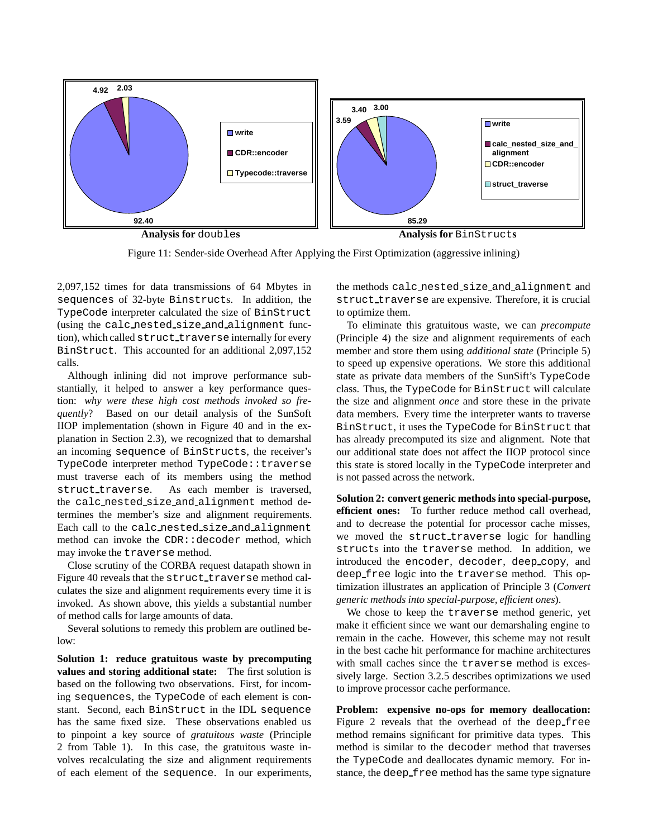

Figure 11: Sender-side Overhead After Applying the First Optimization (aggressive inlining)

2,097,152 times for data transmissions of 64 Mbytes in sequences of 32-byte Binstructs. In addition, the TypeCode interpreter calculated the size of BinStruct (using the calc nested size and alignment function), which called struct\_traverse internally for every BinStruct. This accounted for an additional 2,097,152 calls.

Although inlining did not improve performance substantially, it helped to answer a key performance question: *why were these high cost methods invoked so frequently*? Based on our detail analysis of the SunSoft IIOP implementation (shown in Figure 40 and in the explanation in Section 2.3), we recognized that to demarshal an incoming sequence of BinStructs, the receiver's TypeCode interpreter method TypeCode::traverse must traverse each of its members using the method struct traverse. As each member is traversed, the calc nested size and alignment method determines the member's size and alignment requirements. Each call to the calc nested size and alignment method can invoke the CDR::decoder method, which may invoke the traverse method.

Close scrutiny of the CORBA request datapath shown in Figure 40 reveals that the struct\_traverse method calculates the size and alignment requirements every time it is invoked. As shown above, this yields a substantial number of method calls for large amounts of data.

Several solutions to remedy this problem are outlined be $low$ 

**Solution 1: reduce gratuitous waste by precomputing values and storing additional state:** The first solution is based on the following two observations. First, for incoming sequences, the TypeCode of each element is constant. Second, each BinStruct in the IDL sequence has the same fixed size. These observations enabled us to pinpoint a key source of *gratuitous waste* (Principle 2 from Table 1). In this case, the gratuitous waste involves recalculating the size and alignment requirements of each element of the sequence. In our experiments, the methods calc nested size and alignment and struct traverse are expensive. Therefore, it is crucial to optimize them.

To eliminate this gratuitous waste, we can *precompute* (Principle 4) the size and alignment requirements of each member and store them using *additional state* (Principle 5) to speed up expensive operations. We store this additional state as private data members of the SunSift's TypeCode class. Thus, the TypeCode for BinStruct will calculate the size and alignment *once* and store these in the private data members. Every time the interpreter wants to traverse BinStruct, it uses the TypeCode for BinStruct that has already precomputed its size and alignment. Note that our additional state does not affect the IIOP protocol since this state is stored locally in the TypeCode interpreter and is not passed across the network.

**Solution 2: convert generic methods into special-purpose, efficient ones:** To further reduce method call overhead, and to decrease the potential for processor cache misses, we moved the struct traverse logic for handling structs into the traverse method. In addition, we introduced the encoder, decoder, deep copy, and deep free logic into the traverse method. This optimization illustrates an application of Principle 3 (*Convert generic methods into special-purpose, efficient ones*).

We chose to keep the traverse method generic, yet make it efficient since we want our demarshaling engine to remain in the cache. However, this scheme may not result in the best cache hit performance for machine architectures with small caches since the traverse method is excessively large. Section 3.2.5 describes optimizations we used to improve processor cache performance.

**Problem: expensive no-ops for memory deallocation:** Figure 2 reveals that the overhead of the deep free method remains significant for primitive data types. This method is similar to the decoder method that traverses the TypeCode and deallocates dynamic memory. For instance, the deep free method has the same type signature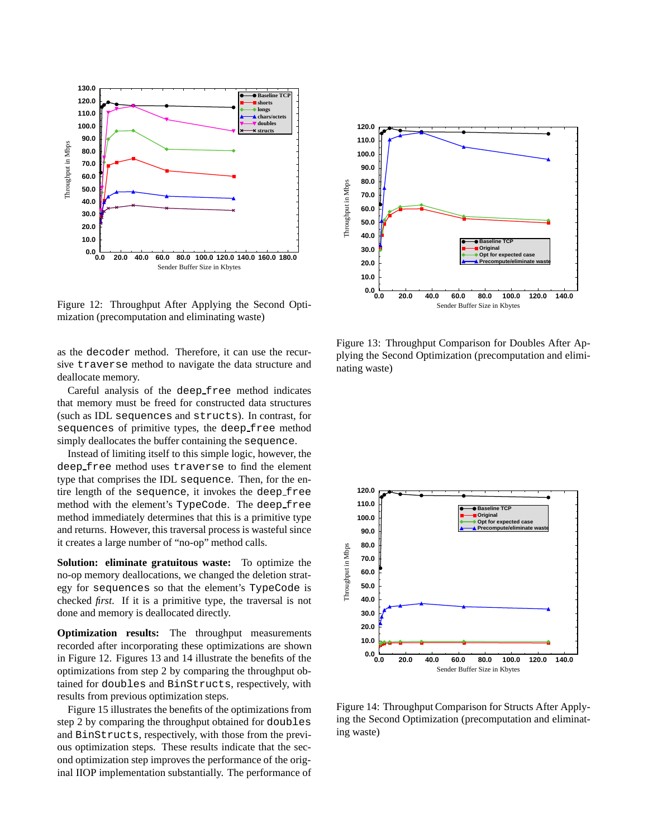

Figure 12: Throughput After Applying the Second Optimization (precomputation and eliminating waste)

as the decoder method. Therefore, it can use the recursive traverse method to navigate the data structure and deallocate memory.

Careful analysis of the deep free method indicates that memory must be freed for constructed data structures (such as IDL sequences and structs). In contrast, for sequences of primitive types, the deep free method simply deallocates the buffer containing the sequence.

Instead of limiting itself to this simple logic, however, the deep free method uses traverse to find the element type that comprises the IDL sequence. Then, for the entire length of the sequence, it invokes the deep free method with the element's TypeCode. The deep free method immediately determines that this is a primitive type and returns. However, this traversal process is wasteful since it creates a large number of "no-op" method calls.

**Solution: eliminate gratuitous waste:** To optimize the no-op memory deallocations, we changed the deletion strategy for sequences so that the element's TypeCode is checked *first*. If it is a primitive type, the traversal is not done and memory is deallocated directly.

**Optimization results:** The throughput measurements recorded after incorporating these optimizations are shown in Figure 12. Figures 13 and 14 illustrate the benefits of the optimizations from step 2 by comparing the throughput obtained for doubles and BinStructs, respectively, with results from previous optimization steps.

Figure 15 illustrates the benefits of the optimizations from step 2 by comparing the throughput obtained for doubles and BinStructs, respectively, with those from the previous optimization steps. These results indicate that the second optimization step improves the performance of the original IIOP implementation substantially. The performance of



Figure 13: Throughput Comparison for Doubles After Applying the Second Optimization (precomputation and eliminating waste)



Figure 14: Throughput Comparison for Structs After Applying the Second Optimization (precomputation and eliminating waste)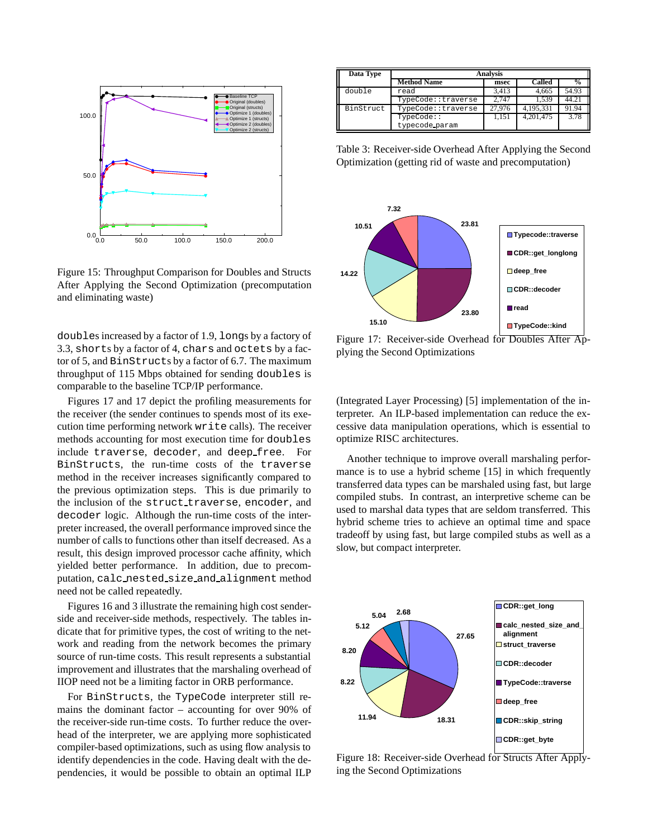

Figure 15: Throughput Comparison for Doubles and Structs After Applying the Second Optimization (precomputation and eliminating waste)

doubles increased by a factor of 1.9, longs by a factory of 3.3, shorts by a factor of 4, chars and octets by a factor of 5, and BinStructs by a factor of 6.7. The maximum throughput of 115 Mbps obtained for sending doubles is comparable to the baseline TCP/IP performance.

Figures 17 and 17 depict the profiling measurements for the receiver (the sender continues to spends most of its execution time performing network write calls). The receiver methods accounting for most execution time for doubles include traverse, decoder, and deep free. For BinStructs, the run-time costs of the traverse method in the receiver increases significantly compared to the previous optimization steps. This is due primarily to the inclusion of the struct traverse, encoder, and decoder logic. Although the run-time costs of the interpreter increased, the overall performance improved since the number of calls to functions other than itself decreased. As a result, this design improved processor cache affinity, which yielded better performance. In addition, due to precomputation, calc nested size and alignment method need not be called repeatedly.

Figures 16 and 3 illustrate the remaining high cost senderside and receiver-side methods, respectively. The tables indicate that for primitive types, the cost of writing to the network and reading from the network becomes the primary source of run-time costs. This result represents a substantial improvement and illustrates that the marshaling overhead of IIOP need not be a limiting factor in ORB performance.

For BinStructs, the TypeCode interpreter still remains the dominant factor – accounting for over 90% of the receiver-side run-time costs. To further reduce the overhead of the interpreter, we are applying more sophisticated compiler-based optimizations, such as using flow analysis to identify dependencies in the code. Having dealt with the dependencies, it would be possible to obtain an optimal ILP

| Data Type | Analysis           |        |           |       |
|-----------|--------------------|--------|-----------|-------|
|           | Method Name        | msec   | `alled    | %     |
| double    | read               | 3.413  | 4.665     | 54.93 |
|           | TypeCode::traverse | 2.141  |           |       |
| BinStruct | TypeCode::traverse | 27.976 | 4.195.331 | 91.94 |
|           | TypeCode::         | 1.151  | 4.201.475 | 3.78  |
|           | typecode param     |        |           |       |

Table 3: Receiver-side Overhead After Applying the Second Optimization (getting rid of waste and precomputation)



Figure 17: Receiver-side Overhead for Doubles After Applying the Second Optimizations

(Integrated Layer Processing) [5] implementation of the interpreter. An ILP-based implementation can reduce the excessive data manipulation operations, which is essential to optimize RISC architectures.

Another technique to improve overall marshaling performance is to use a hybrid scheme [15] in which frequently transferred data types can be marshaled using fast, but large compiled stubs. In contrast, an interpretive scheme can be used to marshal data types that are seldom transferred. This hybrid scheme tries to achieve an optimal time and space tradeoff by using fast, but large compiled stubs as well as a slow, but compact interpreter.



Figure 18: Receiver-side Overhead for Structs After Applying the Second Optimizations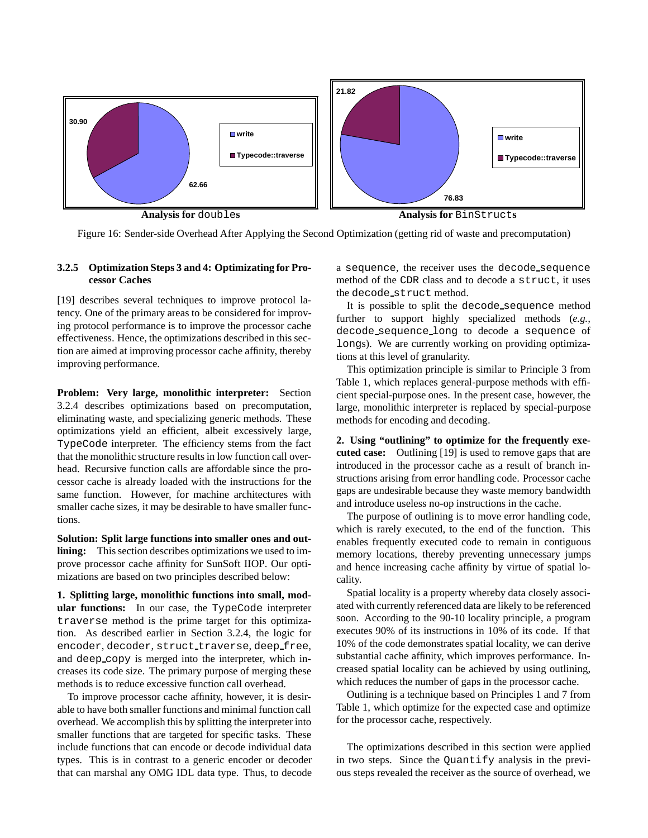

Figure 16: Sender-side Overhead After Applying the Second Optimization (getting rid of waste and precomputation)

#### **3.2.5 Optimization Steps 3 and 4: Optimizating for Processor Caches**

[19] describes several techniques to improve protocol latency. One of the primary areas to be considered for improving protocol performance is to improve the processor cache effectiveness. Hence, the optimizations described in this section are aimed at improving processor cache affinity, thereby improving performance.

**Problem: Very large, monolithic interpreter:** Section 3.2.4 describes optimizations based on precomputation, eliminating waste, and specializing generic methods. These optimizations yield an efficient, albeit excessively large, TypeCode interpreter. The efficiency stems from the fact that the monolithic structure results in low function call overhead. Recursive function calls are affordable since the processor cache is already loaded with the instructions for the same function. However, for machine architectures with smaller cache sizes, it may be desirable to have smaller functions.

**Solution: Split large functions into smaller ones and outlining:** This section describes optimizations we used to improve processor cache affinity for SunSoft IIOP. Our optimizations are based on two principles described below:

**1. Splitting large, monolithic functions into small, modular functions:** In our case, the TypeCode interpreter traverse method is the prime target for this optimization. As described earlier in Section 3.2.4, the logic for encoder, decoder, struct\_traverse, deep\_free, and deep copy is merged into the interpreter, which increases its code size. The primary purpose of merging these methods is to reduce excessive function call overhead.

To improve processor cache affinity, however, it is desirable to have both smaller functions and minimal function call overhead. We accomplish this by splitting the interpreter into smaller functions that are targeted for specific tasks. These include functions that can encode or decode individual data types. This is in contrast to a generic encoder or decoder that can marshal any OMG IDL data type. Thus, to decode a sequence, the receiver uses the decode sequence method of the CDR class and to decode a struct, it uses the decode struct method.

It is possible to split the decode sequence method further to support highly specialized methods (*e.g.,* decode sequence long to decode a sequence of longs). We are currently working on providing optimizations at this level of granularity.

This optimization principle is similar to Principle 3 from Table 1, which replaces general-purpose methods with efficient special-purpose ones. In the present case, however, the large, monolithic interpreter is replaced by special-purpose methods for encoding and decoding.

**2. Using "outlining" to optimize for the frequently executed case:** Outlining [19] is used to remove gaps that are introduced in the processor cache as a result of branch instructions arising from error handling code. Processor cache gaps are undesirable because they waste memory bandwidth and introduce useless no-op instructions in the cache.

The purpose of outlining is to move error handling code, which is rarely executed, to the end of the function. This enables frequently executed code to remain in contiguous memory locations, thereby preventing unnecessary jumps and hence increasing cache affinity by virtue of spatial locality.

Spatial locality is a property whereby data closely associated with currently referenced data are likely to be referenced soon. According to the 90-10 locality principle, a program executes 90% of its instructions in 10% of its code. If that 10% of the code demonstrates spatial locality, we can derive substantial cache affinity, which improves performance. Increased spatial locality can be achieved by using outlining, which reduces the number of gaps in the processor cache.

Outlining is a technique based on Principles 1 and 7 from Table 1, which optimize for the expected case and optimize for the processor cache, respectively.

The optimizations described in this section were applied in two steps. Since the Quantify analysis in the previous steps revealed the receiver as the source of overhead, we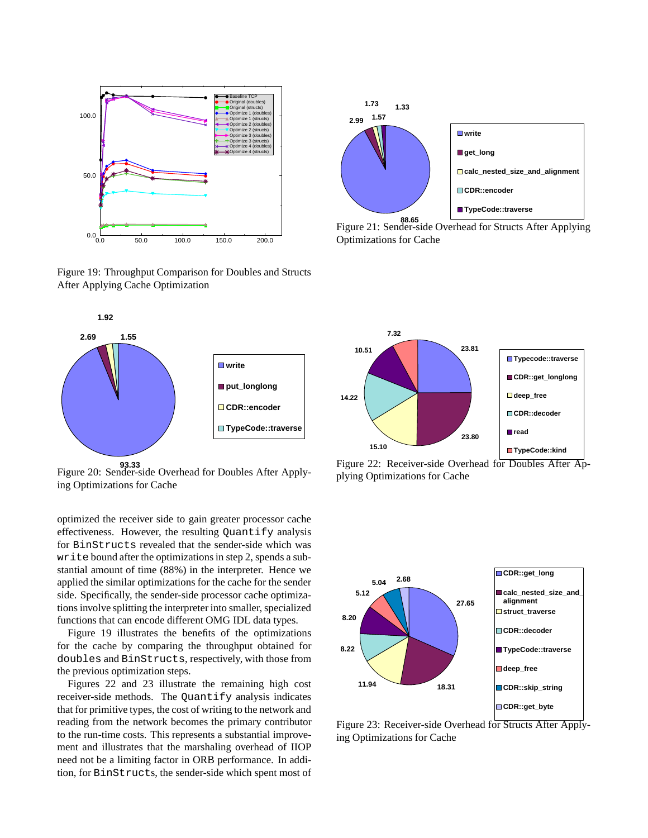

Figure 19: Throughput Comparison for Doubles and Structs After Applying Cache Optimization



**93.33** Figure 20: Sender-side Overhead for Doubles After Applying Optimizations for Cache

optimized the receiver side to gain greater processor cache effectiveness. However, the resulting Quantify analysis for BinStructs revealed that the sender-side which was write bound after the optimizations in step 2, spends a substantial amount of time (88%) in the interpreter. Hence we applied the similar optimizations for the cache for the sender side. Specifically, the sender-side processor cache optimizations involve splitting the interpreter into smaller, specialized functions that can encode different OMG IDL data types.

Figure 19 illustrates the benefits of the optimizations for the cache by comparing the throughput obtained for doubles and BinStructs, respectively, with those from the previous optimization steps.

Figures 22 and 23 illustrate the remaining high cost receiver-side methods. The Quantify analysis indicates that for primitive types, the cost of writing to the network and reading from the network becomes the primary contributor to the run-time costs. This represents a substantial improvement and illustrates that the marshaling overhead of IIOP need not be a limiting factor in ORB performance. In addition, for BinStructs, the sender-side which spent most of



**88.65**<br>Figure 21: Sender-side Overhead for Structs After Applying Optimizations for Cache



Figure 22: Receiver-side Overhead for Doubles After Applying Optimizations for Cache



Figure 23: Receiver-side Overhead for Structs After Applying Optimizations for Cache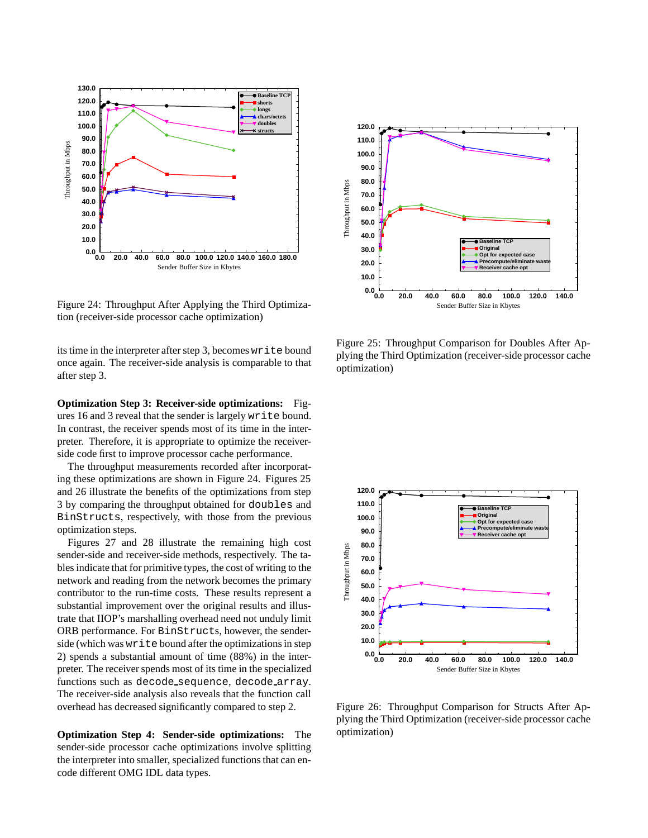

Figure 24: Throughput After Applying the Third Optimization (receiver-side processor cache optimization)

its time in the interpreter after step 3, becomes write bound once again. The receiver-side analysis is comparable to that after step 3.

**Optimization Step 3: Receiver-side optimizations:** Figures 16 and 3 reveal that the sender is largely write bound. In contrast, the receiver spends most of its time in the interpreter. Therefore, it is appropriate to optimize the receiverside code first to improve processor cache performance.

The throughput measurements recorded after incorporating these optimizations are shown in Figure 24. Figures 25 and 26 illustrate the benefits of the optimizations from step 3 by comparing the throughput obtained for doubles and BinStructs, respectively, with those from the previous optimization steps.

Figures 27 and 28 illustrate the remaining high cost sender-side and receiver-side methods, respectively. The tables indicate that for primitive types, the cost of writing to the network and reading from the network becomes the primary contributor to the run-time costs. These results represent a substantial improvement over the original results and illustrate that IIOP's marshalling overhead need not unduly limit ORB performance. For BinStructs, however, the senderside (which was write bound after the optimizations in step 2) spends a substantial amount of time (88%) in the interpreter. The receiver spends most of its time in the specialized functions such as decode sequence, decode array. The receiver-side analysis also reveals that the function call overhead has decreased significantly compared to step 2.

**Optimization Step 4: Sender-side optimizations:** The sender-side processor cache optimizations involve splitting the interpreter into smaller, specialized functions that can encode different OMG IDL data types.



Figure 25: Throughput Comparison for Doubles After Applying the Third Optimization (receiver-side processor cache optimization)



Figure 26: Throughput Comparison for Structs After Applying the Third Optimization (receiver-side processor cache optimization)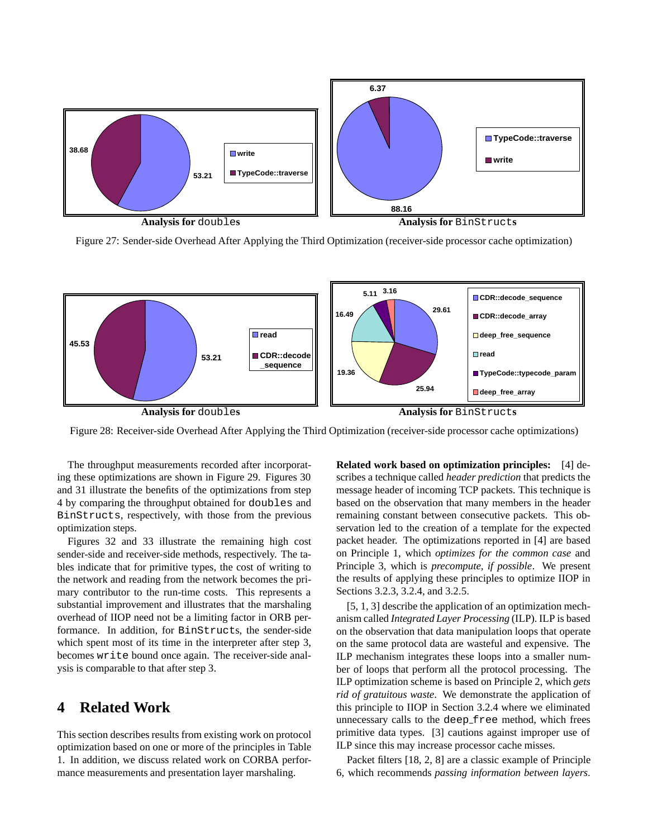

Figure 27: Sender-side Overhead After Applying the Third Optimization (receiver-side processor cache optimization)



Figure 28: Receiver-side Overhead After Applying the Third Optimization (receiver-side processor cache optimizations)

The throughput measurements recorded after incorporating these optimizations are shown in Figure 29. Figures 30 and 31 illustrate the benefits of the optimizations from step 4 by comparing the throughput obtained for doubles and BinStructs, respectively, with those from the previous optimization steps.

Figures 32 and 33 illustrate the remaining high cost sender-side and receiver-side methods, respectively. The tables indicate that for primitive types, the cost of writing to the network and reading from the network becomes the primary contributor to the run-time costs. This represents a substantial improvement and illustrates that the marshaling overhead of IIOP need not be a limiting factor in ORB performance. In addition, for BinStructs, the sender-side which spent most of its time in the interpreter after step 3, becomes write bound once again. The receiver-side analysis is comparable to that after step 3.

# **4 Related Work**

This section describes results from existing work on protocol optimization based on one or more of the principles in Table 1. In addition, we discuss related work on CORBA performance measurements and presentation layer marshaling.

**Related work based on optimization principles:** [4] describes a technique called *header prediction* that predicts the message header of incoming TCP packets. This technique is based on the observation that many members in the header remaining constant between consecutive packets. This observation led to the creation of a template for the expected packet header. The optimizations reported in [4] are based on Principle 1, which *optimizes for the common case* and Principle 3, which is *precompute, if possible*. We present the results of applying these principles to optimize IIOP in Sections 3.2.3, 3.2.4, and 3.2.5.

[5, 1, 3] describe the application of an optimization mechanism called *Integrated Layer Processing* (ILP). ILP is based on the observation that data manipulation loops that operate on the same protocol data are wasteful and expensive. The ILP mechanism integrates these loops into a smaller number of loops that perform all the protocol processing. The ILP optimization scheme is based on Principle 2, which *gets rid of gratuitous waste*. We demonstrate the application of this principle to IIOP in Section 3.2.4 where we eliminated unnecessary calls to the deep free method, which frees primitive data types. [3] cautions against improper use of ILP since this may increase processor cache misses.

Packet filters [18, 2, 8] are a classic example of Principle 6, which recommends *passing information between layers*.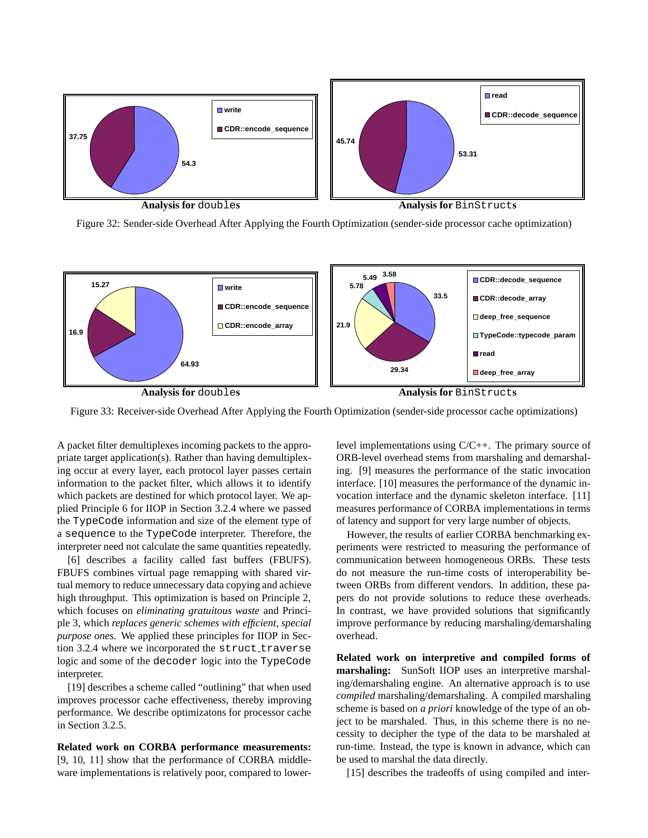![](_page_16_Figure_0.jpeg)

Figure 32: Sender-side Overhead After Applying the Fourth Optimization (sender-side processor cache optimization)

![](_page_16_Figure_2.jpeg)

Figure 33: Receiver-side Overhead After Applying the Fourth Optimization (sender-side processor cache optimizations)

A packet filter demultiplexes incoming packets to the appropriate target application(s). Rather than having demultiplexing occur at every layer, each protocol layer passes certain information to the packet filter, which allows it to identify which packets are destined for which protocol layer. We applied Principle 6 for IIOP in Section 3.2.4 where we passed the TypeCode information and size of the element type of a sequence to the TypeCode interpreter. Therefore, the interpreter need not calculate the same quantities repeatedly.

[6] describes a facility called fast buffers (FBUFS). FBUFS combines virtual page remapping with shared virtual memory to reduce unnecessary data copying and achieve high throughput. This optimization is based on Principle 2, which focuses on *eliminating gratuitous waste* and Principle 3, which *replaces generic schemes with efficient, special purpose ones*. We applied these principles for IIOP in Section 3.2.4 where we incorporated the struct\_traverse logic and some of the decoder logic into the TypeCode interpreter.

[19] describes a scheme called "outlining" that when used improves processor cache effectiveness, thereby improving performance. We describe optimizatons for processor cache in Section 3.2.5.

**Related work on CORBA performance measurements:** [9, 10, 11] show that the performance of CORBA middleware implementations is relatively poor, compared to lowerlevel implementations using C/C++. The primary source of ORB-level overhead stems from marshaling and demarshaling. [9] measures the performance of the static invocation interface. [10] measures the performance of the dynamic invocation interface and the dynamic skeleton interface. [11] measures performance of CORBA implementations in terms of latency and support for very large number of objects.

However, the results of earlier CORBA benchmarking experiments were restricted to measuring the performance of communication between homogeneous ORBs. These tests do not measure the run-time costs of interoperability between ORBs from different vendors. In addition, these papers do not provide solutions to reduce these overheads. In contrast, we have provided solutions that significantly improve performance by reducing marshaling/demarshaling overhead.

**Related work on interpretive and compiled forms of marshaling:** SunSoft IIOP uses an interpretive marshaling/demarshaling engine. An alternative approach is to use *compiled* marshaling/demarshaling. A compiled marshaling scheme is based on *a priori* knowledge of the type of an object to be marshaled. Thus, in this scheme there is no necessity to decipher the type of the data to be marshaled at run-time. Instead, the type is known in advance, which can be used to marshal the data directly.

[15] describes the tradeoffs of using compiled and inter-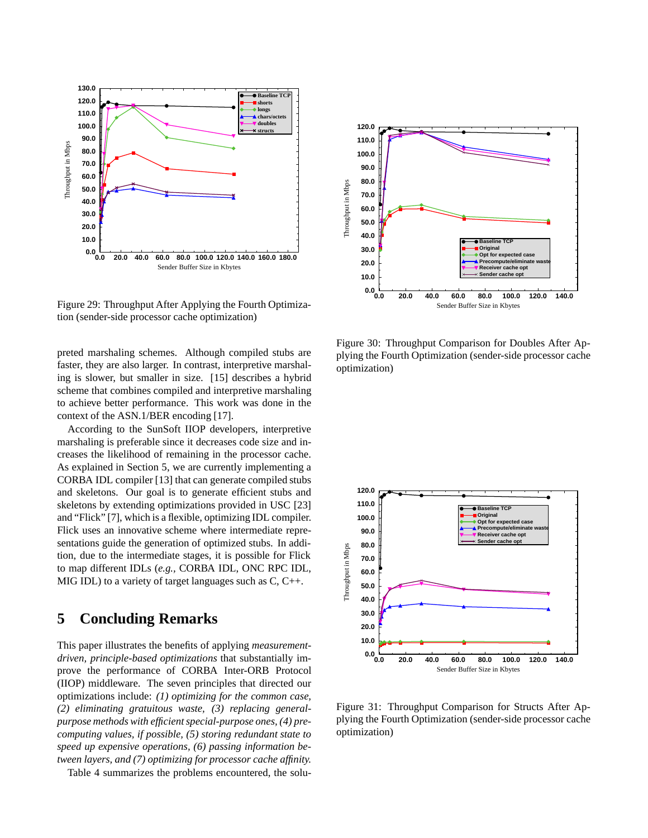![](_page_17_Figure_0.jpeg)

Figure 29: Throughput After Applying the Fourth Optimization (sender-side processor cache optimization)

preted marshaling schemes. Although compiled stubs are faster, they are also larger. In contrast, interpretive marshaling is slower, but smaller in size. [15] describes a hybrid scheme that combines compiled and interpretive marshaling to achieve better performance. This work was done in the context of the ASN.1/BER encoding [17].

According to the SunSoft IIOP developers, interpretive marshaling is preferable since it decreases code size and increases the likelihood of remaining in the processor cache. As explained in Section 5, we are currently implementing a CORBA IDL compiler [13] that can generate compiled stubs and skeletons. Our goal is to generate efficient stubs and skeletons by extending optimizations provided in USC [23] and "Flick" [7], which is a flexible, optimizing IDL compiler. Flick uses an innovative scheme where intermediate representations guide the generation of optimized stubs. In addition, due to the intermediate stages, it is possible for Flick to map different IDLs (*e.g.,* CORBA IDL, ONC RPC IDL, MIG IDL) to a variety of target languages such as C, C++.

# **5 Concluding Remarks**

This paper illustrates the benefits of applying *measurementdriven, principle-based optimizations* that substantially improve the performance of CORBA Inter-ORB Protocol (IIOP) middleware. The seven principles that directed our optimizations include: *(1) optimizing for the common case, (2) eliminating gratuitous waste, (3) replacing generalpurpose methods with efficient special-purpose ones, (4) precomputing values, if possible, (5) storing redundant state to speed up expensive operations, (6) passing information between layers, and (7) optimizing for processor cache affinity.*

Table 4 summarizes the problems encountered, the solu-

![](_page_17_Figure_7.jpeg)

Figure 30: Throughput Comparison for Doubles After Applying the Fourth Optimization (sender-side processor cache optimization)

![](_page_17_Figure_9.jpeg)

Figure 31: Throughput Comparison for Structs After Applying the Fourth Optimization (sender-side processor cache optimization)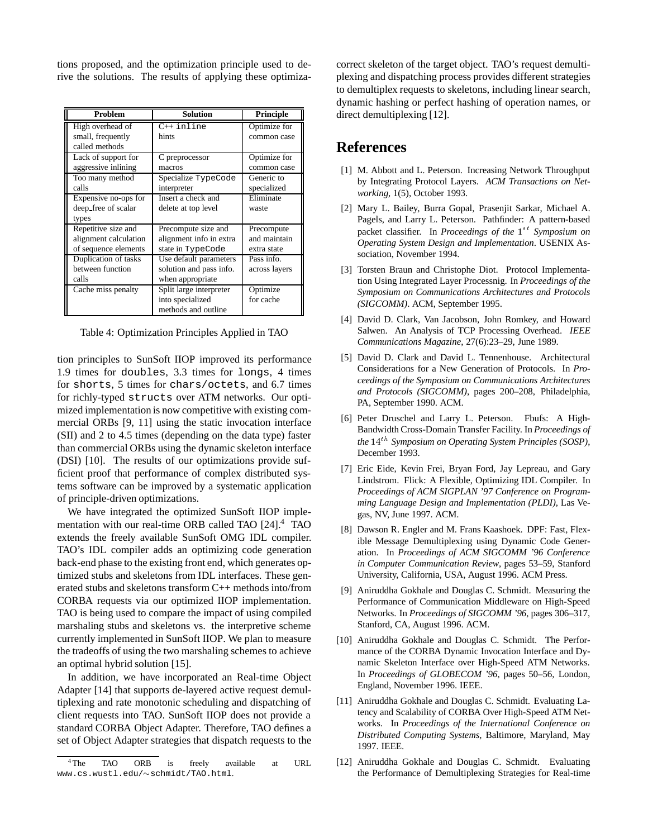tions proposed, and the optimization principle used to derive the solutions. The results of applying these optimiza-

| <b>Problem</b>        | <b>Solution</b>         | Principle     |
|-----------------------|-------------------------|---------------|
| High overhead of      | $C++$ inline            | Optimize for  |
| small, frequently     | hints                   | common case   |
| called methods        |                         |               |
| Lack of support for   | C preprocessor          | Optimize for  |
| aggressive inlining   | macros                  | common case   |
| Too many method       | Specialize TypeCode     | Generic to    |
| calls                 | interpreter             | specialized   |
| Expensive no-ops for  | Insert a check and      | Eliminate     |
| deep free of scalar   | delete at top level     | waste         |
| types                 |                         |               |
| Repetitive size and   | Precompute size and     | Precompute    |
| alignment calculation | alignment info in extra | and maintain  |
| of sequence elements  | state in TypeCode       | extra state   |
| Duplication of tasks  | Use default parameters  | Pass info.    |
| between function      | solution and pass info. | across layers |
| calls                 | when appropriate        |               |
| Cache miss penalty    | Split large interpreter | Optimize      |
|                       | into specialized        | for cache     |
|                       | methods and outline     |               |

Table 4: Optimization Principles Applied in TAO

tion principles to SunSoft IIOP improved its performance 1.9 times for doubles, 3.3 times for longs, 4 times for shorts, 5 times for chars/octets, and 6.7 times for richly-typed structs over ATM networks. Our optimized implementation is now competitive with existing commercial ORBs [9, 11] using the static invocation interface (SII) and 2 to 4.5 times (depending on the data type) faster than commercial ORBs using the dynamic skeleton interface (DSI) [10]. The results of our optimizations provide sufficient proof that performance of complex distributed systems software can be improved by a systematic application of principle-driven optimizations.

We have integrated the optimized SunSoft IIOP implementation with our real-time ORB called TAO [24].<sup>4</sup> TAO extends the freely available SunSoft OMG IDL compiler. TAO's IDL compiler adds an optimizing code generation back-end phase to the existing front end, which generates optimized stubs and skeletons from IDL interfaces. These generated stubs and skeletons transform C++ methods into/from CORBA requests via our optimized IIOP implementation. TAO is being used to compare the impact of using compiled marshaling stubs and skeletons vs. the interpretive scheme currently implemented in SunSoft IIOP. We plan to measure the tradeoffs of using the two marshaling schemes to achieve an optimal hybrid solution [15].

In addition, we have incorporated an Real-time Object Adapter [14] that supports de-layered active request demultiplexing and rate monotonic scheduling and dispatching of client requests into TAO. SunSoft IIOP does not provide a standard CORBA Object Adapter. Therefore, TAO defines a set of Object Adapter strategies that dispatch requests to the correct skeleton of the target object. TAO's request demultiplexing and dispatching process provides different strategies to demultiplex requests to skeletons, including linear search, dynamic hashing or perfect hashing of operation names, or direct demultiplexing [12].

# **References**

- [1] M. Abbott and L. Peterson. Increasing Network Throughput by Integrating Protocol Layers. *ACM Transactions on Networking*, 1(5), October 1993.
- [2] Mary L. Bailey, Burra Gopal, Prasenjit Sarkar, Michael A. Pagels, and Larry L. Peterson. Pathfinder: A pattern-based packet classifier. In *Proceedings of the* 1<sup>st</sup> Symposium on *Operating System Design and Implementation*. USENIX Association, November 1994.
- [3] Torsten Braun and Christophe Diot. Protocol Implementation Using Integrated Layer Processnig. In *Proceedings of the Symposium on Communications Architectures and Protocols (SIGCOMM)*. ACM, September 1995.
- [4] David D. Clark, Van Jacobson, John Romkey, and Howard Salwen. An Analysis of TCP Processing Overhead. *IEEE Communications Magazine*, 27(6):23–29, June 1989.
- [5] David D. Clark and David L. Tennenhouse. Architectural Considerations for a New Generation of Protocols. In *Proceedings of the Symposium on Communications Architectures and Protocols (SIGCOMM)*, pages 200–208, Philadelphia, PA, September 1990. ACM.
- [6] Peter Druschel and Larry L. Peterson. Fbufs: A High-Bandwidth Cross-Domain Transfer Facility. In *Proceedings of the* <sup>14</sup>th *Symposium on Operating System Principles (SOSP)*, December 1993.
- [7] Eric Eide, Kevin Frei, Bryan Ford, Jay Lepreau, and Gary Lindstrom. Flick: A Flexible, Optimizing IDL Compiler. In *Proceedings of ACM SIGPLAN '97 Conference on Programming Language Design and Implementation (PLDI)*, Las Vegas, NV, June 1997. ACM.
- [8] Dawson R. Engler and M. Frans Kaashoek. DPF: Fast, Flexible Message Demultiplexing using Dynamic Code Generation. In *Proceedings of ACM SIGCOMM '96 Conference in Computer Communication Review*, pages 53–59, Stanford University, California, USA, August 1996. ACM Press.
- [9] Aniruddha Gokhale and Douglas C. Schmidt. Measuring the Performance of Communication Middleware on High-Speed Networks. In *Proceedings of SIGCOMM '96*, pages 306–317, Stanford, CA, August 1996. ACM.
- [10] Aniruddha Gokhale and Douglas C. Schmidt. The Performance of the CORBA Dynamic Invocation Interface and Dynamic Skeleton Interface over High-Speed ATM Networks. In *Proceedings of GLOBECOM '96*, pages 50–56, London, England, November 1996. IEEE.
- [11] Aniruddha Gokhale and Douglas C. Schmidt. Evaluating Latency and Scalability of CORBA Over High-Speed ATM Networks. In *Proceedings of the International Conference on Distributed Computing Systems*, Baltimore, Maryland, May 1997. IEEE.
- [12] Aniruddha Gokhale and Douglas C. Schmidt. Evaluating the Performance of Demultiplexing Strategies for Real-time

 $4$ The The TAO ORB is freely available at URL www.cs.wustl.edu/~schmidt/TAO.html.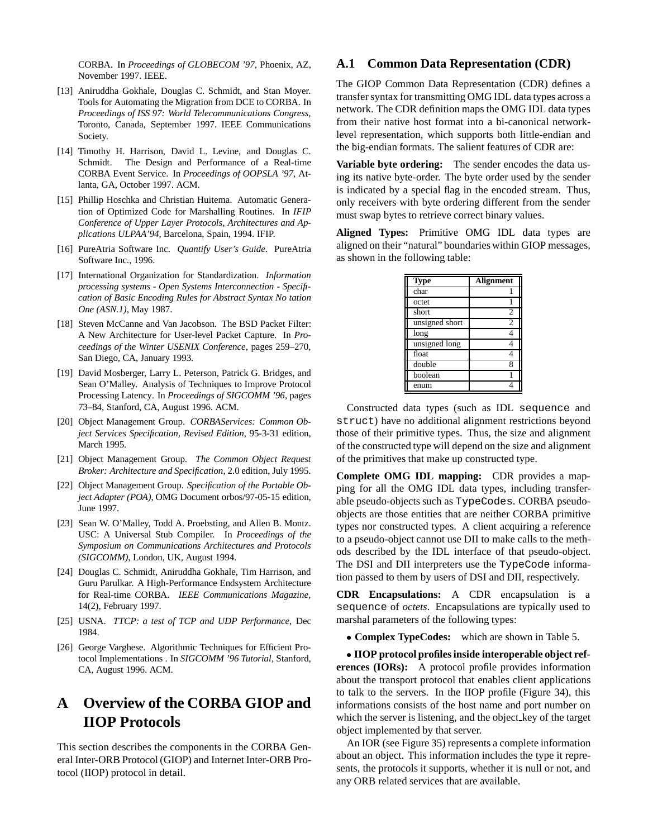CORBA. In *Proceedings of GLOBECOM '97*, Phoenix, AZ, November 1997. IEEE.

- [13] Aniruddha Gokhale, Douglas C. Schmidt, and Stan Moyer. Tools for Automating the Migration from DCE to CORBA. In *Proceedings of ISS 97: World Telecommunications Congress*, Toronto, Canada, September 1997. IEEE Communications Society.
- [14] Timothy H. Harrison, David L. Levine, and Douglas C. Schmidt. The Design and Performance of a Real-time CORBA Event Service. In *Proceedings of OOPSLA '97*, Atlanta, GA, October 1997. ACM.
- [15] Phillip Hoschka and Christian Huitema. Automatic Generation of Optimized Code for Marshalling Routines. In *IFIP Conference of Upper Layer Protocols, Architectures and Applications ULPAA'94*, Barcelona, Spain, 1994. IFIP.
- [16] PureAtria Software Inc. *Quantify User's Guide*. PureAtria Software Inc., 1996.
- [17] International Organization for Standardization. *Information processing systems - Open Systems Interconnection - Specification of Basic Encoding Rules for Abstract Syntax No tation One (ASN.1)*, May 1987.
- [18] Steven McCanne and Van Jacobson. The BSD Packet Filter: A New Architecture for User-level Packet Capture. In *Proceedings of the Winter USENIX Conference*, pages 259–270, San Diego, CA, January 1993.
- [19] David Mosberger, Larry L. Peterson, Patrick G. Bridges, and Sean O'Malley. Analysis of Techniques to Improve Protocol Processing Latency. In *Proceedings of SIGCOMM '96*, pages 73–84, Stanford, CA, August 1996. ACM.
- [20] Object Management Group. *CORBAServices: Common Object Services Specification, Revised Edition*, 95-3-31 edition, March 1995.
- [21] Object Management Group. *The Common Object Request Broker: Architecture and Specification*, 2.0 edition, July 1995.
- [22] Object Management Group. *Specification of the Portable Object Adapter (POA)*, OMG Document orbos/97-05-15 edition, June 1997.
- [23] Sean W. O'Malley, Todd A. Proebsting, and Allen B. Montz. USC: A Universal Stub Compiler. In *Proceedings of the Symposium on Communications Architectures and Protocols (SIGCOMM)*, London, UK, August 1994.
- [24] Douglas C. Schmidt, Aniruddha Gokhale, Tim Harrison, and Guru Parulkar. A High-Performance Endsystem Architecture for Real-time CORBA. *IEEE Communications Magazine*, 14(2), February 1997.
- [25] USNA. *TTCP: a test of TCP and UDP Performance*, Dec 1984.
- [26] George Varghese. Algorithmic Techniques for Efficient Protocol Implementations . In *SIGCOMM '96 Tutorial*, Stanford, CA, August 1996. ACM.

# **A Overview of the CORBA GIOP and IIOP Protocols**

This section describes the components in the CORBA General Inter-ORB Protocol (GIOP) and Internet Inter-ORB Protocol (IIOP) protocol in detail.

## **A.1 Common Data Representation (CDR)**

The GIOP Common Data Representation (CDR) defines a transfer syntax for transmitting OMG IDL data types across a network. The CDR definition maps the OMG IDL data types from their native host format into a bi-canonical networklevel representation, which supports both little-endian and the big-endian formats. The salient features of CDR are:

**Variable byte ordering:** The sender encodes the data using its native byte-order. The byte order used by the sender is indicated by a special flag in the encoded stream. Thus, only receivers with byte ordering different from the sender must swap bytes to retrieve correct binary values.

**Aligned Types:** Primitive OMG IDL data types are aligned on their "natural" boundaries within GIOP messages, as shown in the following table:

| <b>Type</b>    | <b>Alignment</b> |
|----------------|------------------|
| char           |                  |
| octet          |                  |
| short          | 2                |
| unsigned short | 2                |
| long           |                  |
| unsigned long  |                  |
| float          |                  |
| double         | 8                |
| boolean        |                  |
| enum           |                  |

Constructed data types (such as IDL sequence and struct) have no additional alignment restrictions beyond those of their primitive types. Thus, the size and alignment of the constructed type will depend on the size and alignment of the primitives that make up constructed type.

**Complete OMG IDL mapping:** CDR provides a mapping for all the OMG IDL data types, including transferable pseudo-objects such as TypeCodes. CORBA pseudoobjects are those entities that are neither CORBA primitive types nor constructed types. A client acquiring a reference to a pseudo-object cannot use DII to make calls to the methods described by the IDL interface of that pseudo-object. The DSI and DII interpreters use the TypeCode information passed to them by users of DSI and DII, respectively.

**CDR Encapsulations:** A CDR encapsulation is a sequence of *octets*. Encapsulations are typically used to marshal parameters of the following types:

**Complex TypeCodes:** which are shown in Table 5.

 **IIOP protocol profiles inside interoperable object references (IORs):** A protocol profile provides information about the transport protocol that enables client applications to talk to the servers. In the IIOP profile (Figure 34), this informations consists of the host name and port number on which the server is listening, and the object key of the target object implemented by that server.

An IOR (see Figure 35) represents a complete information about an object. This information includes the type it represents, the protocols it supports, whether it is null or not, and any ORB related services that are available.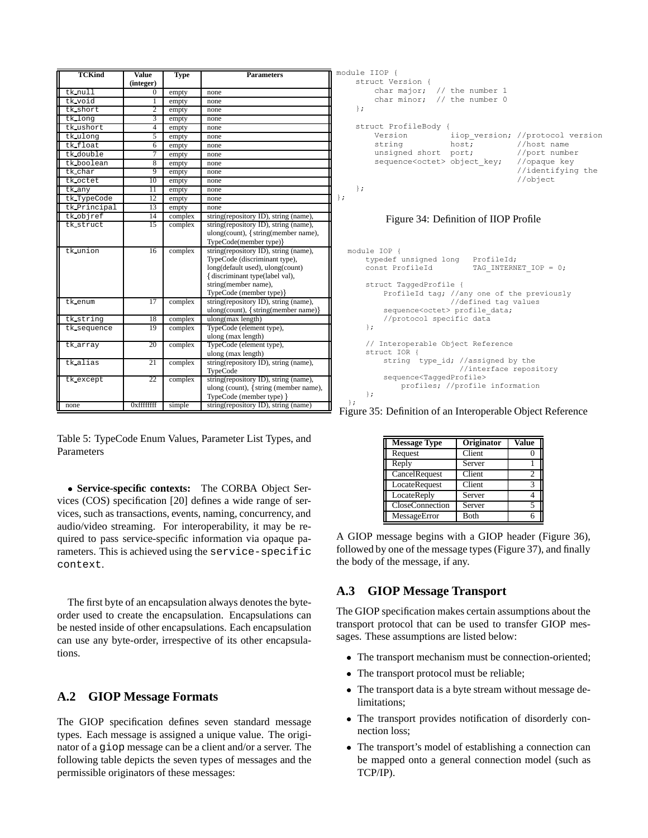| <b>TCKind</b> | Value             | <b>Type</b> | <b>Parameters</b>                                                  | modi   |
|---------------|-------------------|-------------|--------------------------------------------------------------------|--------|
| I             | (integer)         |             |                                                                    |        |
| tk_null       | $\Omega$          | empty       | none                                                               |        |
| tk void       | 1                 | empty       | none                                                               |        |
| tk_short      | 2                 | empty       | none                                                               |        |
| tk_long       | 3                 | empty       | none                                                               |        |
| tk ushort     | $\overline{4}$    | empty       | none                                                               |        |
| tk_ulonq      | 5                 | empty       | none                                                               |        |
| tk float      | 6                 | empty       | none                                                               |        |
| tk_double     | 7                 | empty       | none                                                               |        |
| tk boolean    | 8                 | empty       | none                                                               |        |
| tk_char       | 9                 | empty       | none                                                               |        |
| tk_octet      | 10                | empty       | none                                                               |        |
| tk any        | 11                | empty       | none                                                               |        |
| tk TypeCode   | 12                | empty       | none                                                               | $\}$ ; |
| tk Principal  | 13                | empty       | none                                                               |        |
| tk.objref     | 14                | complex     | string(repository ID), string (name),                              |        |
| tk_struct     | 15                | complex     | string(repository ID), string (name),                              |        |
|               |                   |             | ulong(count), {string(member name),                                |        |
|               |                   |             | TypeCode(member type) }                                            |        |
| tk union      | 16                | complex     | string(repository ID), string (name),                              | m      |
|               |                   |             | TypeCode (discriminant type),                                      |        |
|               |                   |             | long(default used), ulong(count)                                   |        |
|               |                   |             | {discriminant type(label val),                                     |        |
|               |                   |             | string(member name),                                               |        |
|               |                   |             | TypeCode (member type) }                                           |        |
| tk enum       | 17                | complex     | string(repository ID), string (name),                              |        |
|               |                   |             | ulong(count), {string(member name)}                                |        |
| tk_string     | 18                | complex     | ulong(max length)                                                  |        |
| tk_sequence   | 19                | complex     | TypeCode (element type),                                           |        |
|               |                   |             | ulong (max length)                                                 |        |
| tk array      | 20                | complex     | TypeCode (element type),                                           |        |
|               |                   |             | ulong (max length)                                                 |        |
| tk alias      | 21                | complex     | string(repository ID), string (name),                              |        |
|               | 22                |             | TypeCode                                                           |        |
| tk_except     |                   | complex     | string(repository ID), string (name),                              |        |
|               |                   |             | ulong (count), { string (member name),<br>TypeCode (member type) } |        |
|               | <b>Oxffffffff</b> |             | string(repository ID), string (name)                               |        |
| none          |                   | simple      |                                                                    | г.:    |

Table 5: TypeCode Enum Values, Parameter List Types, and Parameters

 **Service-specific contexts:** The CORBA Object Services (COS) specification [20] defines a wide range of services, such as transactions, events, naming, concurrency, and audio/video streaming. For interoperability, it may be required to pass service-specific information via opaque parameters. This is achieved using the service-specific context.

The first byte of an encapsulation always denotes the byteorder used to create the encapsulation. Encapsulations can be nested inside of other encapsulations. Each encapsulation can use any byte-order, irrespective of its other encapsulations.

## **A.2 GIOP Message Formats**

The GIOP specification defines seven standard message types. Each message is assigned a unique value. The originator of a giop message can be a client and/or a server. The following table depicts the seven types of messages and the permissible originators of these messages:

| dule IIOP { |                                                   |       |                                  |
|-------------|---------------------------------------------------|-------|----------------------------------|
|             | struct Version {                                  |       |                                  |
|             | char major; $//$ the number 1                     |       |                                  |
|             | char minor; $//$ the number $0$                   |       |                                  |
| $\}$ ;      |                                                   |       |                                  |
|             |                                                   |       |                                  |
|             | struct ProfileBody {                              |       |                                  |
|             | Version                                           |       | iiop version; //protocol version |
|             | string                                            | host: | //host name                      |
|             | unsigned short port;                              |       | //port number                    |
|             | sequence <octet> object key; //opaque key</octet> |       |                                  |
|             |                                                   |       | //identifying the                |
|             |                                                   |       | //object                         |
|             |                                                   |       |                                  |

#### Figure 34: Definition of IIOP Profile

```
module IOP {
    typedef unsigned long ProfileId;<br>const ProfileId TAG_INTERN
                              TAG_INTERNET_IOP = 0;
    struct TaggedProfile {
        ProfileId tag; //any one of the previously
                         //defined tag values
        sequence<octet> profile_data;
         //protocol specific data
    };
    // Interoperable Object Reference
    struct IOR {
        string type_id; //assigned by the
                           //interface repository
        sequence<TaggedProfile>
            profiles; //profile information
    };
};
```
Figure 35: Definition of an Interoperable Object Reference

| <b>Message Type</b> | Originator | Value |
|---------------------|------------|-------|
| Request             | Client     |       |
| Reply               | Server     |       |
| CancelRequest       | Client     | 2     |
| LocateRequest       | Client     |       |
| LocateReply         | Server     |       |
| CloseConnection     | Server     |       |
| MessageError        | Both       |       |

A GIOP message begins with a GIOP header (Figure 36), followed by one of the message types (Figure 37), and finally the body of the message, if any.

## **A.3 GIOP Message Transport**

The GIOP specification makes certain assumptions about the transport protocol that can be used to transfer GIOP messages. These assumptions are listed below:

- The transport mechanism must be connection-oriented;
- The transport protocol must be reliable;
- The transport data is a byte stream without message delimitations;
- The transport provides notification of disorderly connection loss;
- The transport's model of establishing a connection can be mapped onto a general connection model (such as TCP/IP).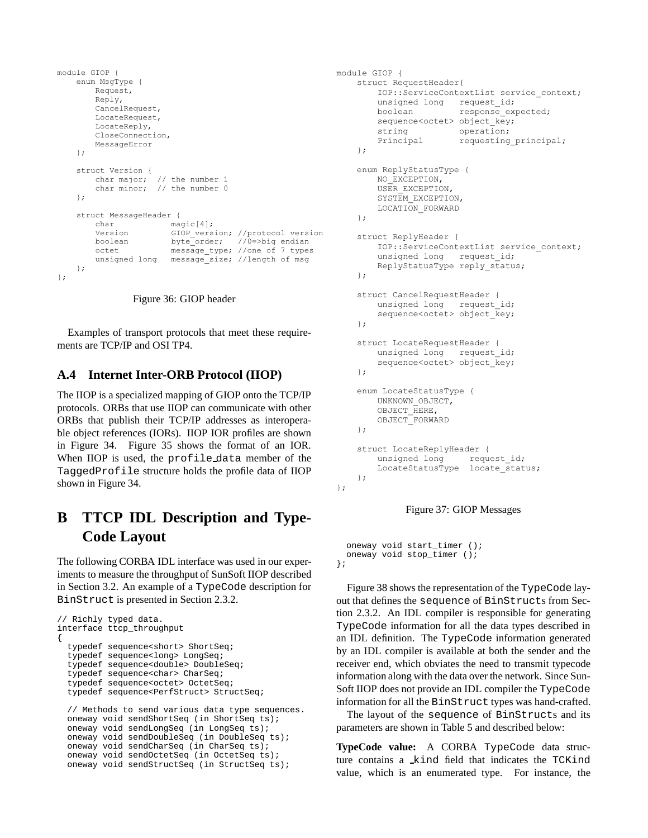```
module GIOP {
    enum MsgType {
        Request,
        Reply,
        CancelRequest,
        LocateRequest,
        LocateReply,
        CloseConnection,
        MessageError
    };
    struct Version {
         char major; // the number 1
         char minor; // the number 0
    };
    struct MessageHeader {
        char magic[4];<br>Version GTOP vers
        Version GIOP_version; //protocol version<br>boolean byte_order; //0=>big_endian
                       byte_order; //0=>big endian
        octet message_type; //one of 7 types
        unsigned long message size; //length of msg
    };
};
```
Figure 36: GIOP header

Examples of transport protocols that meet these requirements are TCP/IP and OSI TP4.

### **A.4 Internet Inter-ORB Protocol (IIOP)**

The IIOP is a specialized mapping of GIOP onto the TCP/IP protocols. ORBs that use IIOP can communicate with other ORBs that publish their TCP/IP addresses as interoperable object references (IORs). IIOP IOR profiles are shown in Figure 34. Figure 35 shows the format of an IOR. When IIOP is used, the profile data member of the TaggedProfile structure holds the profile data of IIOP shown in Figure 34.

# **B TTCP IDL Description and Type-Code Layout**

The following CORBA IDL interface was used in our experiments to measure the throughput of SunSoft IIOP described in Section 3.2. An example of a TypeCode description for BinStruct is presented in Section 2.3.2.

```
// Richly typed data.
interface ttcp_throughput
{
 typedef sequence<short> ShortSeq;
 typedef sequence<long> LongSeq;
 typedef sequence<double> DoubleSeq;
 typedef sequence<char> CharSeq;
 typedef sequence<octet> OctetSeq;
 typedef sequence<PerfStruct> StructSeq;
 // Methods to send various data type sequences.
 oneway void sendShortSeq (in ShortSeq ts);
 oneway void sendLongSeq (in LongSeq ts);
 oneway void sendDoubleSeq (in DoubleSeq ts);
 oneway void sendCharSeq (in CharSeq ts);
 oneway void sendOctetSeq (in OctetSeq ts);
 oneway void sendStructSeq (in StructSeq ts);
```

```
module GIOP {
    struct RequestHeader{
        IOP::ServiceContextList service_context;
        unsigned long request_id;
        boolean response expected;
        sequence<octet> object key;
        string operation;<br>Principal requesting
                        requesting_principal;
    };
    enum ReplyStatusType {
        NO_EXCEPTION,
        USER_EXCEPTION,
        SYSTEM EXCEPTION,
        LOCATION_FORWARD
    };
    struct ReplyHeader {
        IOP::ServiceContextList service_context;
        unsigned long request id;
        ReplyStatusType reply_status;
    };
    struct CancelRequestHeader {
        unsigned long request id;
        sequence<octet> object key;
    };
    struct LocateRequestHeader {
        unsigned long request_id;
        sequence<octet> object key;
    };
    enum LocateStatusType {
        UNKNOWN_OBJECT,
        OBJECT_HERE,
        OBJECT_FORWARD
    };
    struct LocateReplyHeader {
        unsigned long request id;
        LocateStatusType locate_status;
    };
};
```
#### Figure 37: GIOP Messages

```
oneway void start_timer ();
 oneway void stop_timer ();
};
```
Figure 38 shows the representation of the TypeCode layout that defines the sequence of BinStructs from Section 2.3.2. An IDL compiler is responsible for generating TypeCode information for all the data types described in an IDL definition. The TypeCode information generated by an IDL compiler is available at both the sender and the receiver end, which obviates the need to transmit typecode information along with the data over the network. Since Sun-Soft IIOP does not provide an IDL compiler the TypeCode information for all the BinStruct types was hand-crafted.

The layout of the sequence of BinStructs and its parameters are shown in Table 5 and described below:

**TypeCode value:** A CORBA TypeCode data structure contains a kind field that indicates the TCKind value, which is an enumerated type. For instance, the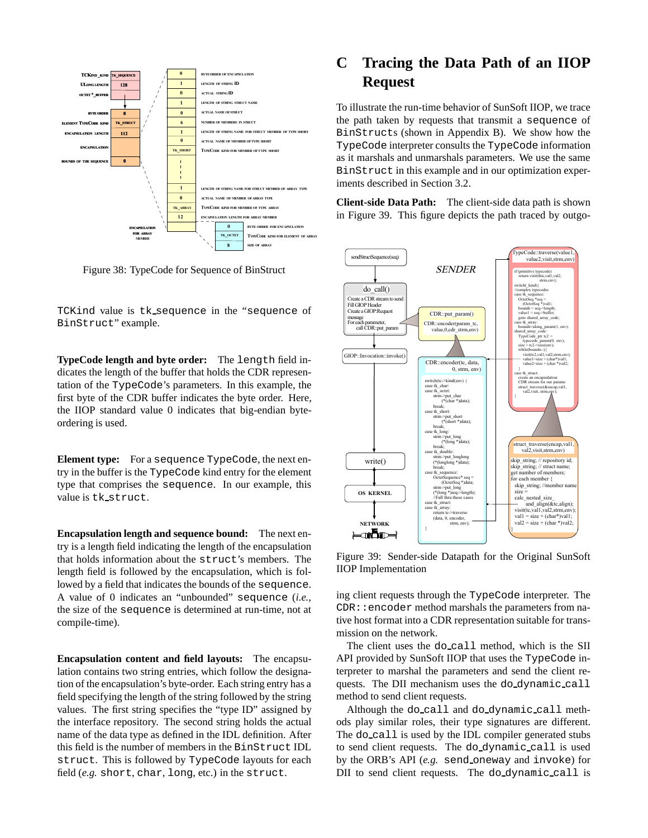![](_page_22_Figure_0.jpeg)

Figure 38: TypeCode for Sequence of BinStruct

TCKind value is tk sequence in the "sequence of BinStruct" example.

**TypeCode length and byte order:** The length field indicates the length of the buffer that holds the CDR representation of the TypeCode's parameters. In this example, the first byte of the CDR buffer indicates the byte order. Here, the IIOP standard value 0 indicates that big-endian byteordering is used.

**Element type:** For a sequence TypeCode, the next entry in the buffer is the TypeCode kind entry for the element type that comprises the sequence. In our example, this value is tk\_struct.

**Encapsulation length and sequence bound:** The next entry is a length field indicating the length of the encapsulation that holds information about the struct's members. The length field is followed by the encapsulation, which is followed by a field that indicates the bounds of the sequence. A value of 0 indicates an "unbounded" sequence (*i.e.*, the size of the sequence is determined at run-time, not at compile-time).

**Encapsulation content and field layouts:** The encapsulation contains two string entries, which follow the designation of the encapsulation's byte-order. Each string entry has a field specifying the length of the string followed by the string values. The first string specifies the "type ID" assigned by the interface repository. The second string holds the actual name of the data type as defined in the IDL definition. After this field is the number of members in the BinStruct IDL struct. This is followed by TypeCode layouts for each field (*e.g.* short, char, long, etc.) in the struct.

# **C Tracing the Data Path of an IIOP Request**

To illustrate the run-time behavior of SunSoft IIOP, we trace the path taken by requests that transmit a sequence of BinStructs (shown in Appendix B). We show how the TypeCode interpreter consults the TypeCode information as it marshals and unmarshals parameters. We use the same BinStruct in this example and in our optimization experiments described in Section 3.2.

**Client-side Data Path:** The client-side data path is shown in Figure 39. This figure depicts the path traced by outgo-

![](_page_22_Figure_10.jpeg)

Figure 39: Sender-side Datapath for the Original SunSoft IIOP Implementation

ing client requests through the TypeCode interpreter. The  $CDR:$ : encoder method marshals the parameters from native host format into a CDR representation suitable for transmission on the network.

The client uses the do call method, which is the SII API provided by SunSoft IIOP that uses the TypeCode interpreter to marshal the parameters and send the client requests. The DII mechanism uses the do dynamic call method to send client requests.

Although the do call and do dynamic call methods play similar roles, their type signatures are different. The do\_call is used by the IDL compiler generated stubs to send client requests. The do dynamic call is used by the ORB's API (*e.g.* send oneway and invoke) for DII to send client requests. The do dynamic call is